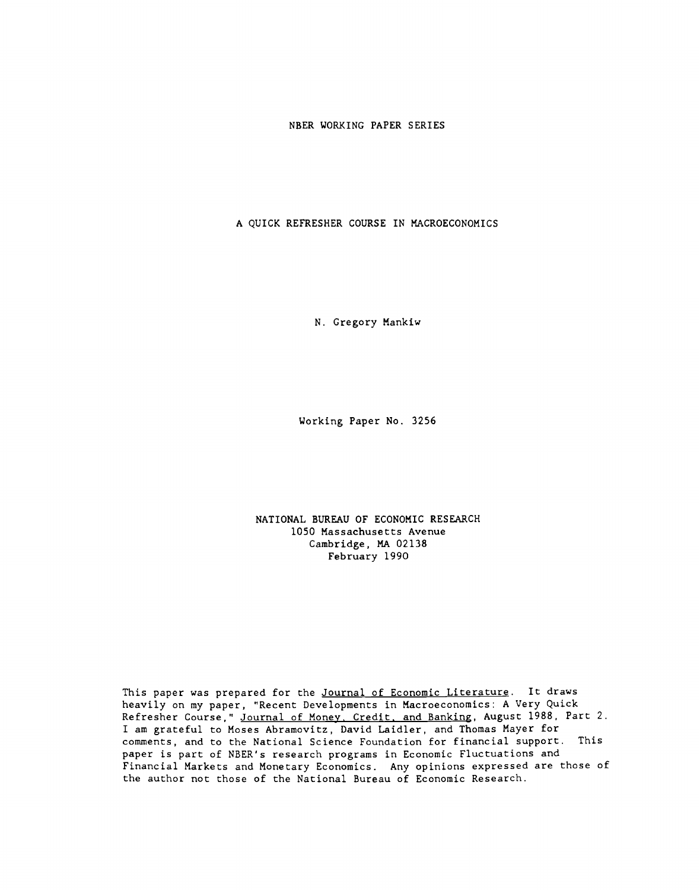NBER WORKING PAPER SERIES

A QUICK REFRESHER COURSE IN MACROECONOMICS

N. Gregory Mankiw

Working Paper No. 3256

NATIONAL BUREAU OF ECONOMIC RESEARCH 1050 Massachusetts Avenue Cambridge, MA 02138 February 1990

This paper was prepared for the Journal of Economic Literature. It draws heavily on my paper, "Recent Developments in Macroeconomics: A Very Quick Refresher Course," Journal of Money. Credit, and Banking, August 1988, Part 2. I am grateful to Moses Abramovitz, David Laidler, and Thomas Mayer for comments, and to the National Science Foundation for financial support. This paper is part of NBER's research programs in Economic Fluctuations and Financial Markets and Monetary Economics. Any opinions expressed are those of the author not those of the National Bureau of Economic Research.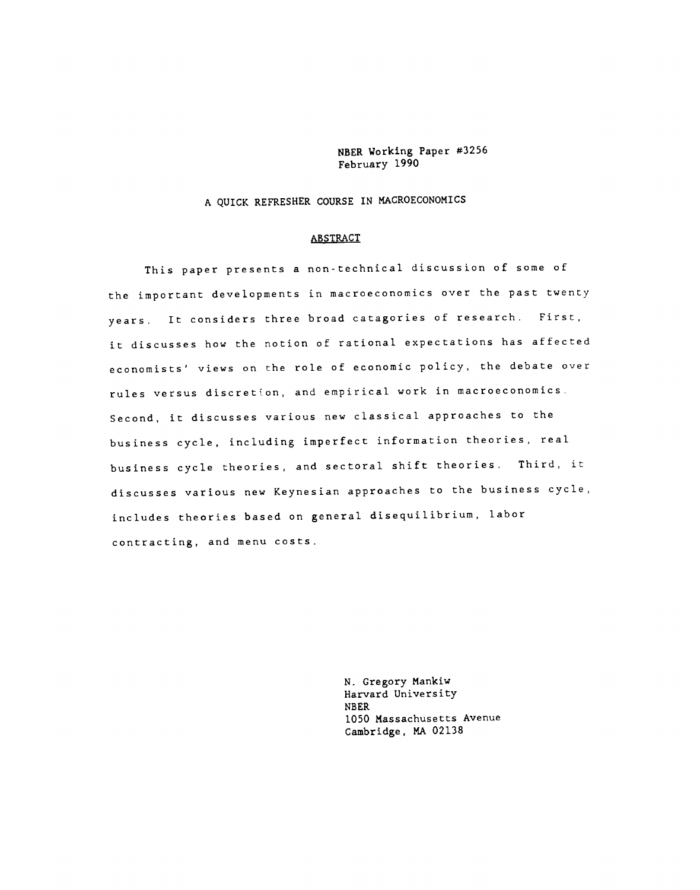NBER Working Paper #3256 February 1990

A QUICK REFRESHER COURSE IN MACROECONOMICS

#### ABSTRACT

This paper presents a non-technical discussion of some of the important developments in macroeconomics over the past twenty years. It considers three broad catagories of research. First, it discusses how the notion of rational expectations has affected economists' views on the role of economic policy, the debate over rules versus discretion, and empirical work in macroeconomics Second, it discusses various new classical approaches to the business cycle, including imperfect information theories, real business cycle theories, and sectoral shift theories. Third, it discusses various new Keynesian approaches to the business cycle, includes theories based on general disequilibrium, labor contracting, and menu costs.

> N. Gregory Mankiw Harvard University NBER 1050 Massachusetts Avenue Cambridge, MA 02138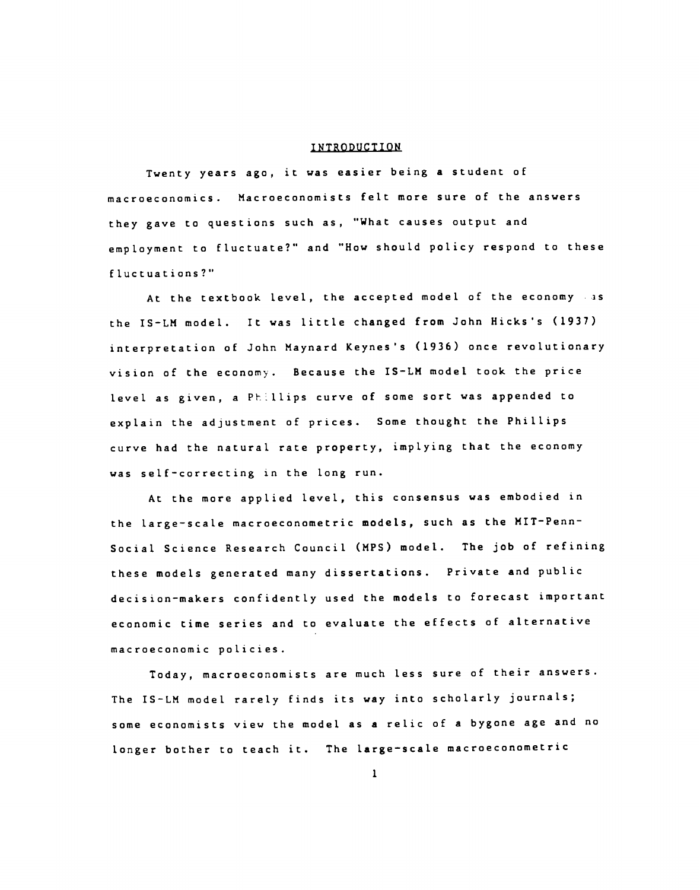#### INTRODUCTION

Twenty years ago, it was easier being a student of macroeconomics. Macroeconomists felt more sure of the answers they gave to questions such as, "What causes output and employment to fluctuate?" and "How should policy respond to these fluctuations?"

At the textbook level, the accepted model of the economy as the IS—LM model. It was little changed from John Hicks's (1937) interpretation of John Maynard Keynes's (1936) once revolutionary vision of the economy. Because the IS—LM model took the price level as given, a PLlips curve of some sort was appended to explain the adjustment of prices. Some thought the Phillips curve had the natural rate property, implying that the economy was self—correcting in the long run.

At the more applied level, this consensus was embodied in the large-scale macroeconometric models, such as the MIT-Penn-Social Science Research Council (MPS) model. The job of refining these models generated many dissertations. Private and public decision—makers confidently used the models to forecast important economic time series and to evaluate the effects of alternative macroeconomic policies.

Today, macroeconomists are much less sure of their answers. The IS-LM model rarely finds its way into scholarly journals; some economists view the model as a relic of a bygone age and no longer bother to teach it. The large-scale macroeconometric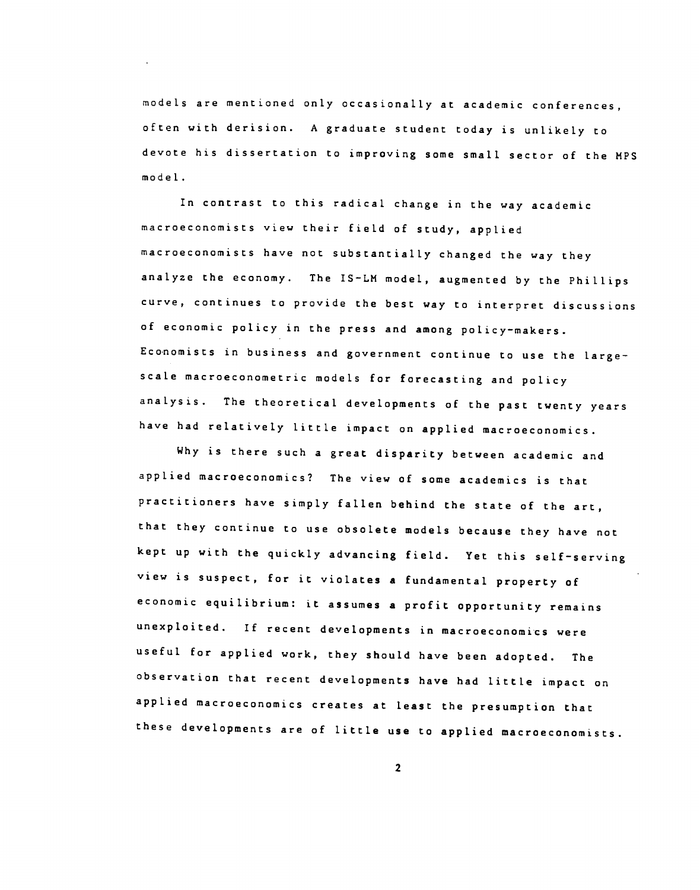models are mentioned only occasionally at academic conferences, often with derision. A graduate student today is unlikely to devote his dissertation to improving some small sector of the MPS model.

In contrast to this radical change in the way academic macroeconomists view their field of study, applied macroeconomists have not substantially changed the way they analyze the economy. The IS—LM model, augmented by the Phillips curve, continues to provide the best way to interpret discussions of economic policy in the press and among policy—makers. Economists in business and government continue to use the large scale macroeconometric models for forecasting and policy analysis. The theoretical developments of the past twenty years have had relatively little impact on applied macroeconomics.

Why is there such a great disparity between academic and applied macroeconomics? The view of some academics is that practitioners have simply fallen behind the state of the art, that they continue to use obsolete models because they have not kept up with the quickly advancing field. Yet this self—serving view is suspect, for it violates a fundamental property of economic equilibrium: it assumes a profit opportunity remains unexploited. If recent developments in macroeconomics were useful for applied work, they should have been adopted. The observation that recent developments have had little impact on applied macroeconomics creates at least the presumption that these developments are of little use to applied macroeconomists.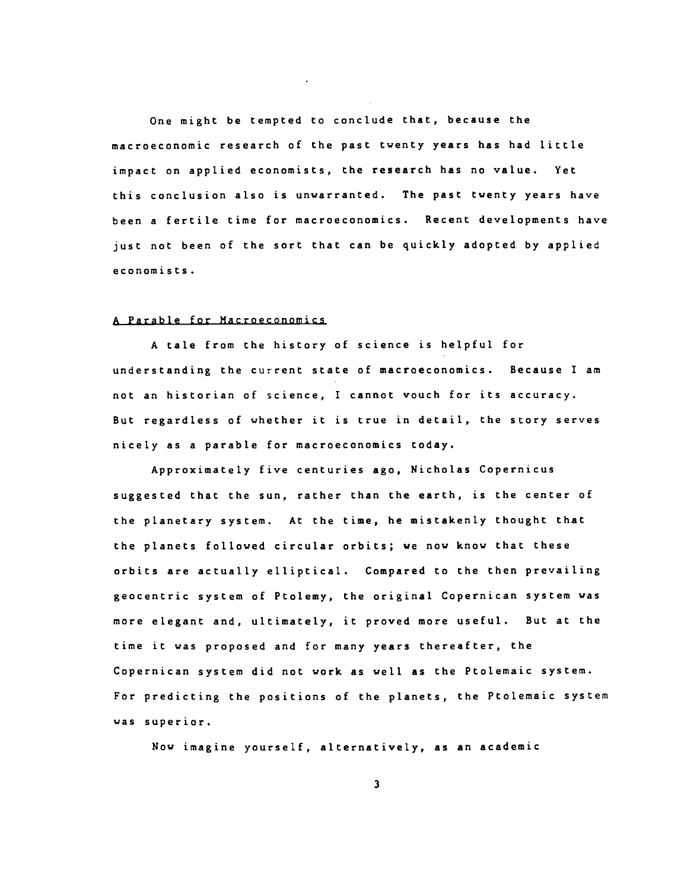One might be tempted to conclude that, because the macroeconomic research of the past twenty years has had little impact on applied economists, the research has no value. Yet this conclusion also is unwarranted. The past twenty years have been a fertile time for macroeconomics. Recent developments have just not been of the sort that can be quickly adopted by applied economists.

#### A Parable for Macroeconomics

A tale from the history of science is helpful for understanding the current state of macroeconomics. Because I am not an historian of science, I cannot vouch for its accuracy. But regardless of whether it is true in detail, the story serves nicely as a parable for macroeconomics today.

Approximately five centuries ago, Nicholas Copernicus suggested that the sun, rather than the earth, is the center of the planetary system. At the time, he mistakenly thought that the planets followed circular orbits; we now know that these orbits are actually elliptical. Compared to the then prevailing geocentric system of Ptolemy, the original Copernican system was more elegant and, ultimately, it proved more useful. But at the time it was proposed and for many years thereafter, the Copernican system did not work as well as the Ptolemaic system. For predicting the positions of the planets, the Ptolemaic system was superior.

Now imagine yourself, alternatively, as an academic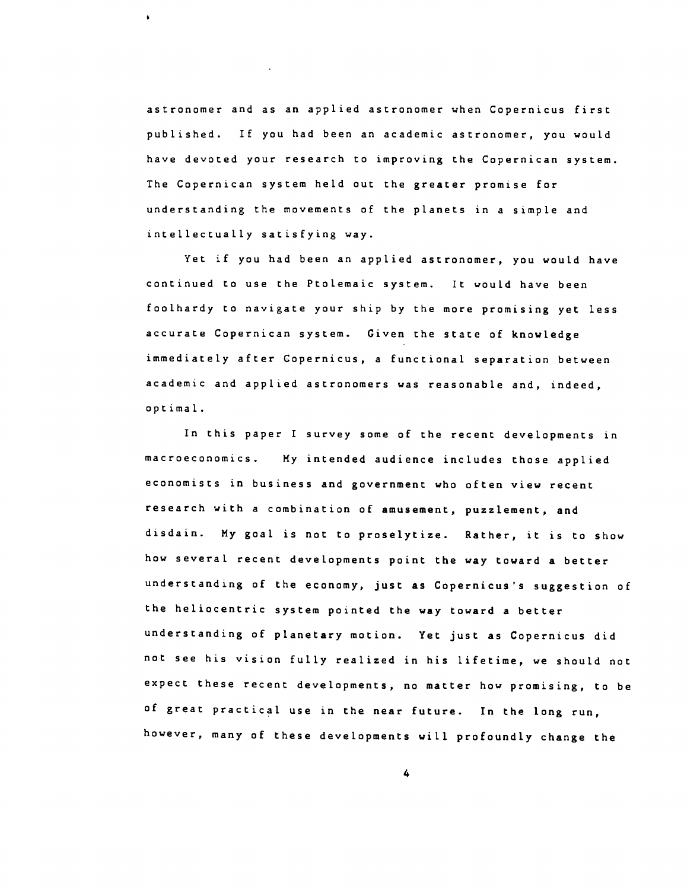astronomer and as an applied astronomer when Copernicus first published. If you had been an academic astronomer, you would have devoted your research to improving the Copernican system. The Copernican system held out the greater promise for understanding the movements of the planets in a simple and intellectually satisfying way.

 $\ddot{\phantom{a}}$ 

Yet if you had been an applied astronomer, you would have continued to use the Ptolemaic system. It would have been foolhardy to navigate your ship by the more promising yet less accurate Copernican system. Given the state of knowledge immediately after Copernicus, a functional separation between academic and applied astronomers was reasonable and, indeed, optimal.

In this paper I survey some of the recent developments in macroeconomics. My intended audience includes those applied economists in business and government who often view recent research with a combination of amusement, puzzlement, and disdain. My goal is not to proselytize. Rather, it is to show how several recent developments point the way toward a better understanding of the economy, just as Copernicus's suggestion of the heliocentric system pointed the way toward a better understanding of planetary motion. Yet just as Copernicus did not see his vision fully realized in his lifetime, we should not expect these recent developments, no matter how promising, to be of great practical use in the near future. In the long run, however, many of these developments will profoundly change the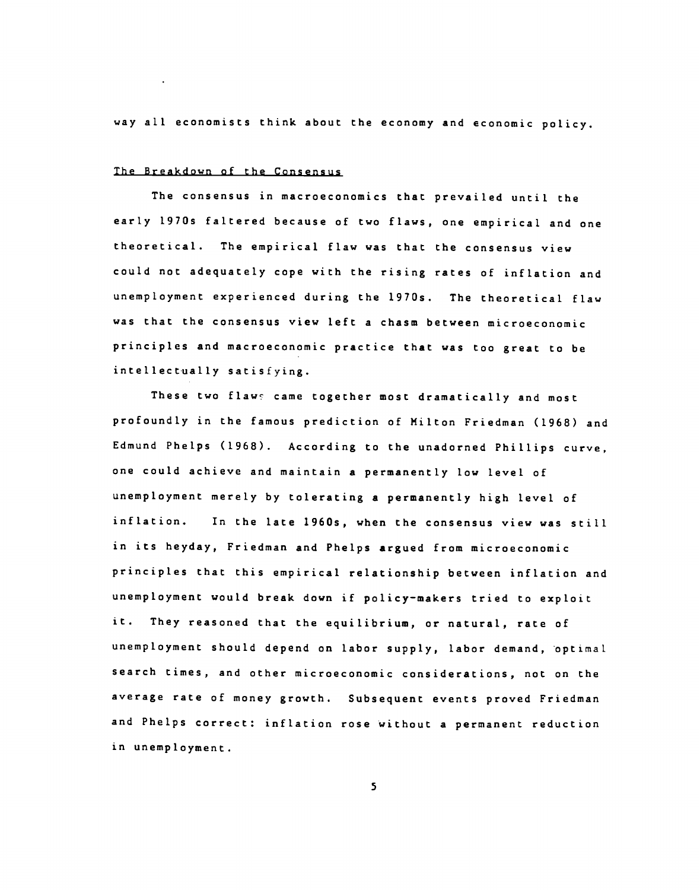way all economists think about the economy and economic policy.

#### The Breakdown of the Consensus

The consensus in macroeconomics that prevailed until the early 1970s faltered because of two flaws, one empirical and one theoretical. The empirical flaw was that the consensus view could not adequately cope with the rising rates of inflation and unemployment experienced during the 1970s. The theoretical flaw was that the consensus view left a chasm between microeconomjc principles and macroeconomic practice that was too great to be intellectually satisfying.

These two flaws came together most dramatically and most profoundly in the famous prediction of Milton Friedman (1968) and Edmund Phelps (1968). According to the unadorned Phillips curve, one could achieve and maintain a permanently low level of unemployment merely by tolerating a permanently high level of inflation. In the late 1960s, when the consensus view was still in its heyday, Friedman and Phelps argued from microeconomic principles that this empirical relationship between inflation and unemployment would break down if policy—makers tried to exploit it. They reasoned that the equilibrium, or natural, rate of unemployment should depend on labor supply, labor demand, optimal search times, and other microeconomic considerations, not on the average rate of money growth. Subsequent events proved Friedman and Phelps correct: inflation rose without a permanent reduction in unemployment.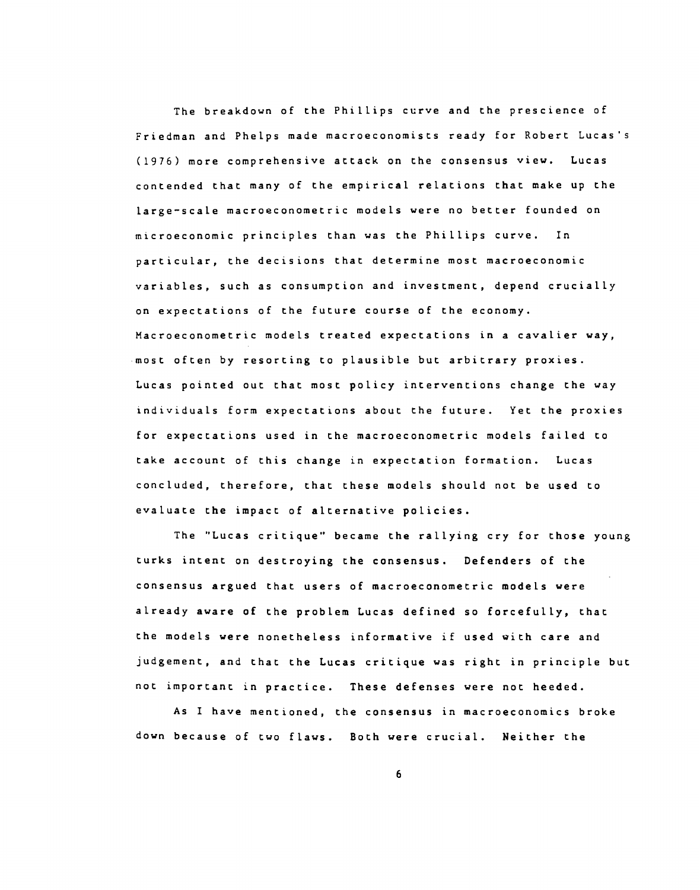The breakdown of the Phillips curve and the prescience of Friedman and Phelps made macroeconomists ready for Robert Lucas's (1976) more comprehensive attack on the consensus view. Lucas contended that many of the empirical relations that make up the large—scale macroeconometric models were no better founded on microeconomic principles than was the Phillips curve. In particular, the decisions that determine most macroeconomic variables, such as consumption and investment, depend crucially on expectations of the future course of the economy. Macroeconometric models treated expectations in a cavalier way, most often by resorting to plausible but arbitrary proxies. Lucas pointed out that most policy interventions change the way individuals form expectations about the future. Yet the proxies for expectations used in the macroeconometric models failed to take account of this change in expectation formation. Lucas concluded, therefore, that these models should not be used to evaluate the impact of alternative policies.

The "Lucas critique' became the rallying cry for those young turks intent on destroying the consensus. Defenders of the consensus argued that users of macroeconometric models were already aware of the problem Lucas defined so forcefully, that the models were nonetheless informative if used with care and judgement, and that the Lucas critique was right in principle but not important in practice. These defenses were not heeded.

As I have mentioned, the consensus in macroeconomics broke down because of two flaws. Both were crucial. Neither the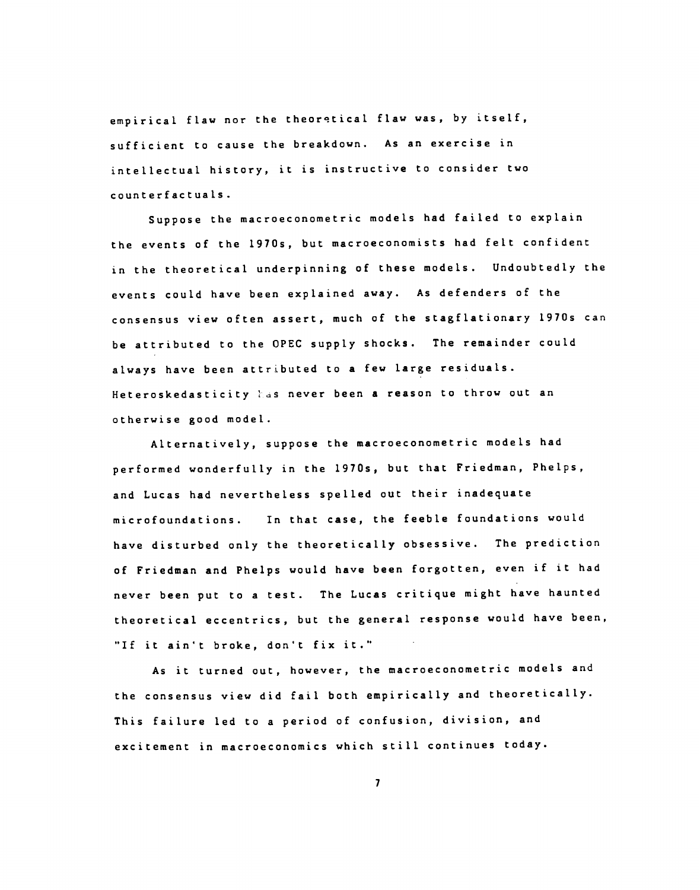empirical flaw nor the theoretical flaw was, by itself, sufficient to cause the breakdown. As an exercise in intellectual history, it is instructive to consider two counterfactuals.

Suppose the macroeconometric models had failed to explain the events of the 1970s, but macroeconomists had felt confident in the theoretical underpinning of these models. Undoubtedly the events could have been explained away. As defenders of the consensus view often assert, much of the stagflationary 1970s can be attributed to the OPEC supply shocks. The remainder could always have been attributed to a few large residuals. Heteroskedasticity has never been a reason to throw out an otherwise good model.

Alternatively, suppose the macroeconometric models had performed wonderfully in the 1970s, but that Friedman, Phelps, and Lucas had nevertheless spelled out their inadequate microfoundations. In that case, the feeble foundations would have disturbed only the theoretically obsessive. The prediction of Friedman and Phelps would have been forgotten, even if it had never been put to a test. The Lucas critique might have haunted theoretical eccentrics, but the general response would have been, "If it ain't broke, don't fix it."

As it turned out, however, the macroeconometric models and the consensus view did fail both empirically and theoretically. This failure led to a period of confusion, division, and excitement in macroeconomics which still continues today.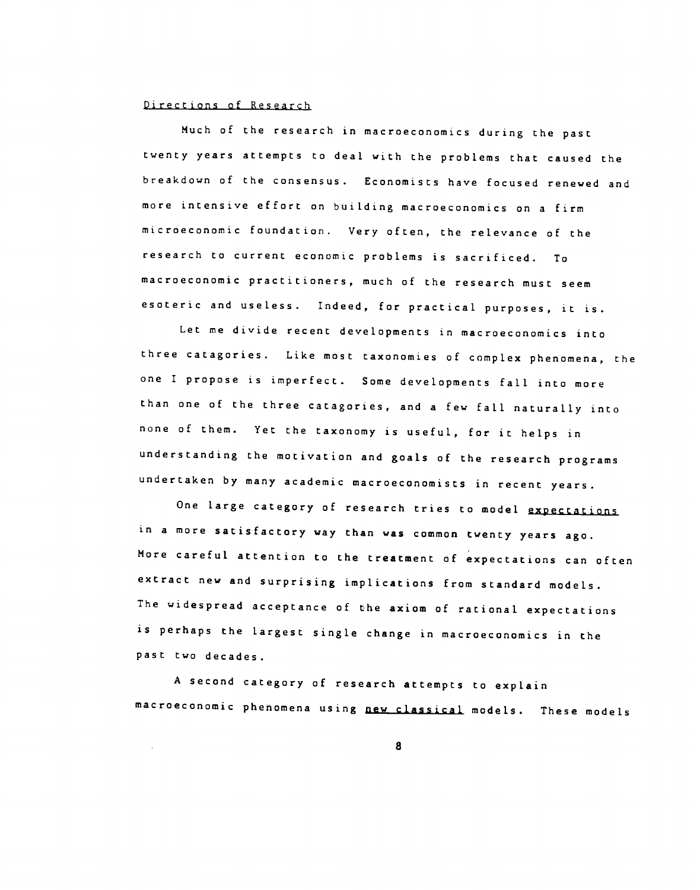#### Directions of Research

Much of the research in macroeconomics during the past twenty years attempts to deal with the problems that caused the breakdown of the consensus. Economists have focused renewed and more intensive effort on building macroeconomics on a firm microeconomic foundation. Very often, the relevance of the research to current economic problems is sacrificed. To macroeconomic practitioners, much of the research must seem esoteric and useless. Indeed, for practical purposes, it is.

Let me divide recent developments in macroeconomics into three catagories. Like most taxonomies of complex phenomena, the one I propose is imperfect. Some developments fall into more than one of the three catagories, and a few fall naturally into none of them. Yet the taxonomy is useful, for it helps in understanding the motivation and goals of the research programs undertaken by many academic macroeconomists in recent years.

One large category of research tries to model expectations in a more satisfactory way than was common twenty years ago. More careful attention to the treatment of expectations can often extract new and surprising implications from standard models. The widespread acceptance of the axiom of rational expectations is perhaps the largest single change in macroeconomics in the past two decades.

A second category of research attempts to explain macroeconomic phenomena using new classical models. These models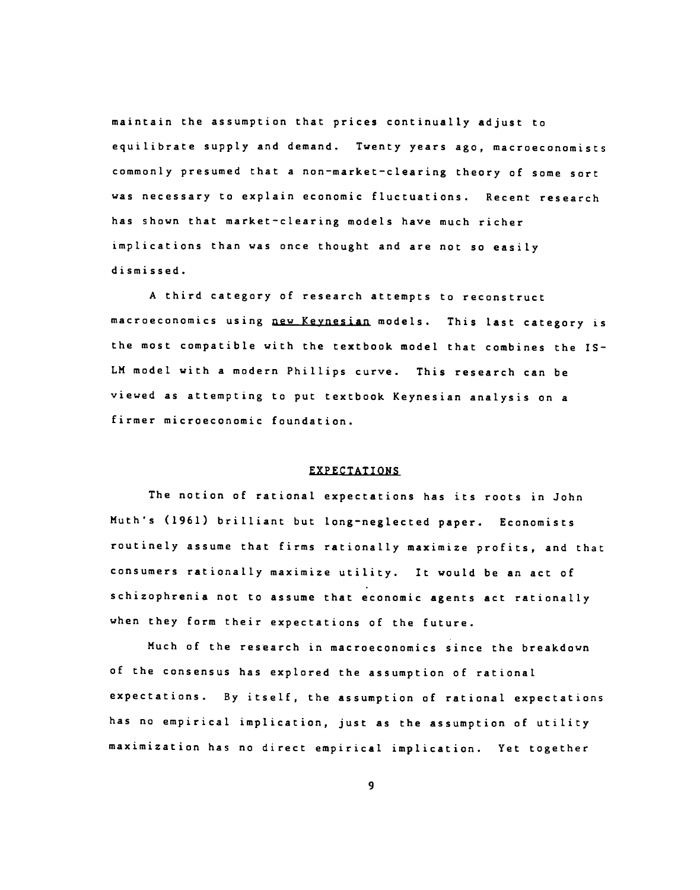maintain the assumption that prices continually adjust to equilibrate supply and demand. Twenty years ago, macroeconomjsts commonly presumed that a non—market—clearing theory of some sort was necessary to explain economic fluctuations. Recent research has shown that market—clearing models have much richer implications than was once thought and are not so easily dismissed.

A third category of research attempts to reconstruct macroeconomics using new Keynesian models. This last category is the most compatible with the textbook model that combines the IS— LM model with a modern Phillips curve. This research can be viewed as attempting to put textbook Keynesian analysis on a firmer microeconomic foundation.

#### EXPECTATIONS

The notion of rational expectations has its roots in John Muth's (1961) brilliant but long-neglected paper. Economists routinely assume that firms rationally maximize profits, and that consumers rationally maximize utility. It would be an act of schizophrenia not to assume that economic agents act rationally when they form their expectations of the future.

Much of the research in macroeconomics since the breakdown of the consensus has explored the assumption of rational expectations. By itself, the assumption of rational expectations has no empirical implication, just as the assumption of utility maximization has no direct empirical implication. Yet together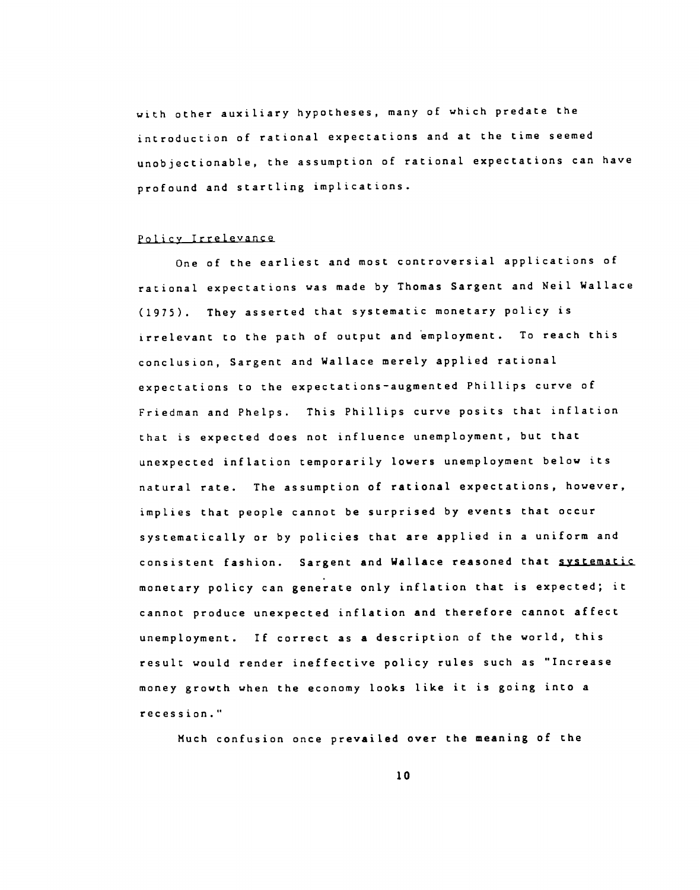with other auxiliary hypotheses, many of which predate the introduction of rational expectations and at the time seemed unobjectionable, the assumption of rational expectations can have profound and startling implications.

#### Policy Irrelevance

One of the earliest and most controversial applications of rational expectations was made by Thomas Sargent and Neil Wallace (1975). They asserted that systematic monetary policy is irrelevant to the path of output and employment. To reach this conclusion, Sargent and Wallace merely applied rational expectations to the expectations—augmented Phillips curve of Friedman and Phelps. This Phillips curve posits that inflation that is expected does not influence unemployment, but that unexpected inflation temporarily lowers unemployment below its natural rate. The assumption of rational expectations, however, implies that people cannot be surprised by events that occur systematically or by policies that are applied in a uniform and consistent fashion. Sargent and Wallace reasoned that systematic monetary policy can generate only inflation that is expected; it cannot produce unexpected inflation and therefore cannot affect unemployment. If correct as a description of the world, this result would render ineffective policy rules such as "Increase money growth when the economy looks like it is going into a recession."

Much confusion once prevailed over the meaning of the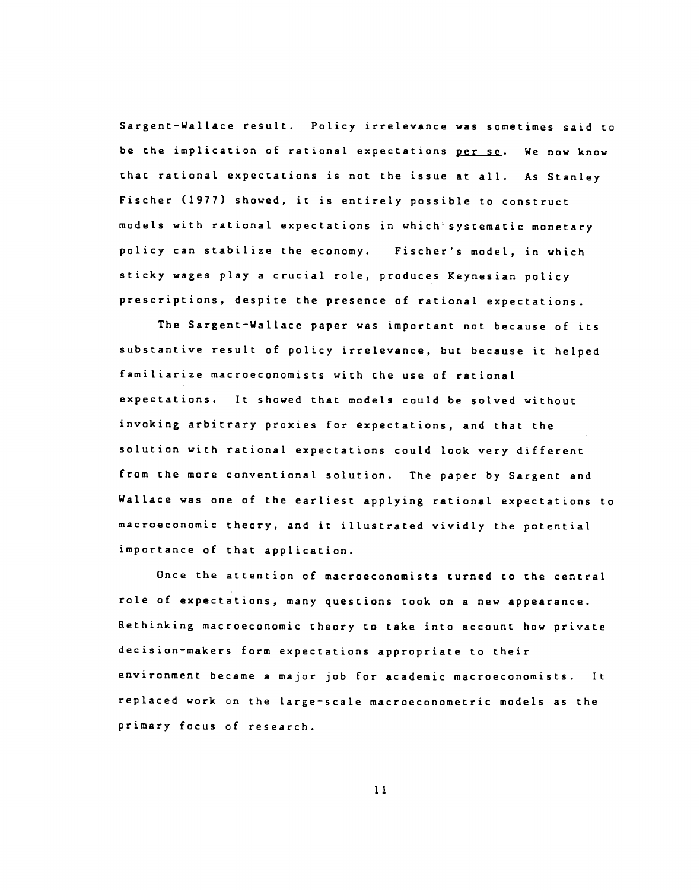Sargent—Wallace result. Policy irrelevance was sometimes said to be the implication of rational expectations per se. We now know that rational expectations is not the issue at all. As Stanley Fischer (1977) showed, it is entirely possible to construct models with rational expectations in which systematic monetary policy can stabilize the economy. Fischer's model, in which sticky wages play a crucial role, produces Keynesian policy prescriptions, despite the presence of rational expectations.

The Sargent—Wallace paper was important not because of its substantive result of policy irrelevance, but because it helped familiarize macroeconomists with the use of rational expectations. It showed that models could be solved without invoking arbitrary proxies for expectations, and that the solution with rational expectations could look very different from the more conventional solution. The paper by Sargent and Wallace was one of the earliest applying rational expectations to macroeconomic theory, and it illustrated vividly the potential importance of that application.

Once the attention of macroeconomists turned to the central role of expectations, many questions took on a new appearance. Rethinking macroeconomic theory to take into account how private decision—makers form expectations appropriate to their environment became a major job for academic macroeconomists. It replaced work on the large—scale macroeconometric models as the primary focus of research.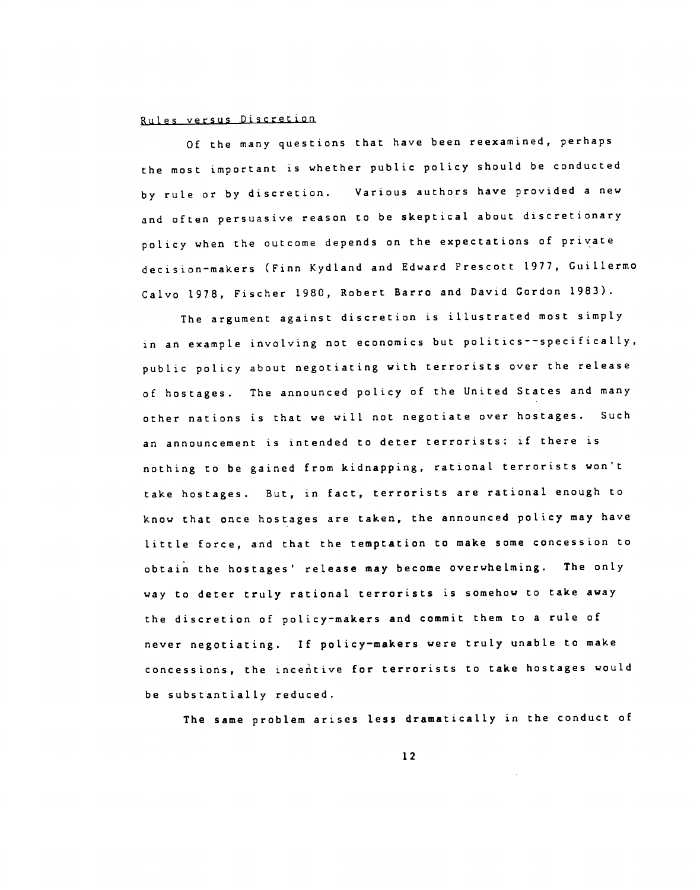# Rules versus Discretion

Of the many questions that have been reexamined, perhaps the most important is whether public policy should be conducted by rule or by discretion. Various authors have provided a new and often persuasive reason to be skeptical about discretionary policy when the outcome depends on the expectations of private decision-makers (Finn Kydland and Edward Prescott 1977, Guillermo Calvo 1978, Fischer 1980, Robert Barro and David Gordon 1983).

The argument against discretion is illustrated most simply in an example involving not economics but politics--specifically, public policy about negotiating with terrorists over the release of hostages. The announced policy of the United States and many other nations is that we will not negotiate over hostages. Such an announcement is intended to deter terrorists: if there is nothing to be gained from kidnapping, rational terrorists won't take hostages. But, in fact, terrorists are rational enough to know that once hostages are taken, the announced policy may have little force, and that the temptation to make some concession to obtain the hostages' release may become overwhelming. The only way to deter truly rational terrorists is somehow to take away the discretion of policy—makers and commit them to a rule of never negotiating. If policy—makers were truly unable to make concessions, the inceitive for terrorists to take hostages would be substantially reduced.

The same problem arises less dramatically in the conduct of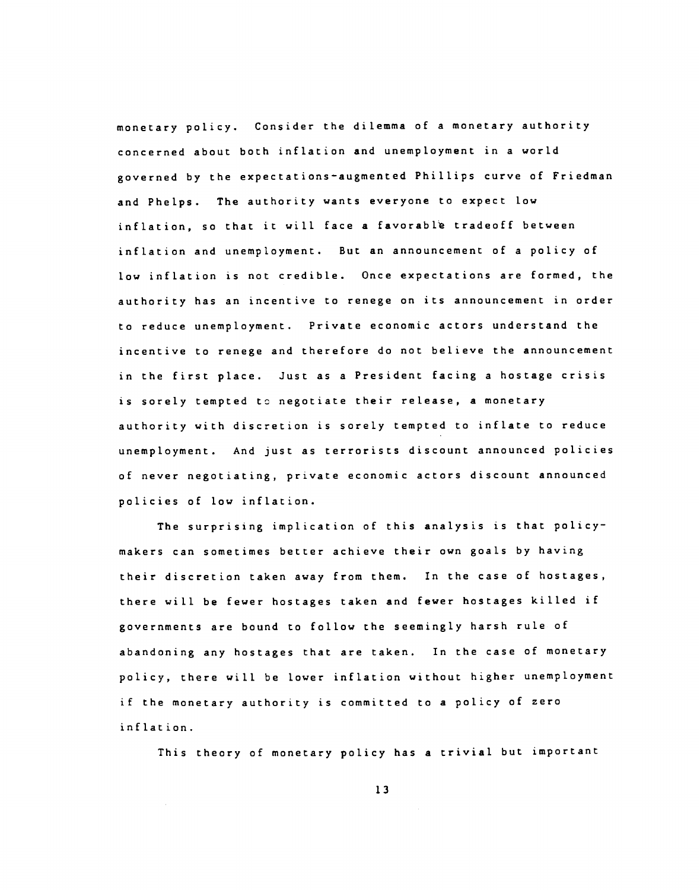monetary policy. Consider the dilemma of a monetary authority concerned about both inflation and unemployment in a world governed by the expectations—augmented Phillips curve of Friedman and Phelps. The authority wants everyone to expect low inflation, so that it will face a favorable tradeoff between inflation and unemployment. But an announcement of a policy of low inflation is not credible. Once expectations are formed, the authority has an incentive to renege on its announcement in order to reduce unemployment. Private economic actors understand the incentive to renege and therefore do not believe the announcement in the first place. Just as a President facing a hostage crisis is sorely tempted to negotiate their release, a monetary authority with discretion is sorely tempted to inflate to reduce unemployment. And just as terrorists discount announced policies of never negotiating, private economic actors discount announced policies of low inflation.

The surprising implication of this analysis is that policymakers can sometimes better achieve their own goals by having their discretion taken away from them. In the case of hostages, there will be fewer hostages taken and fewer hostages killed if governments are bound to follow the seemingly harsh rule of abandoning any hostages that are taken. In the case of monetary policy, there will be lower inflation without higher unemployment if the monetary authority is committed to a policy of zero inflation.

This theory of monetary policy has a trivial but important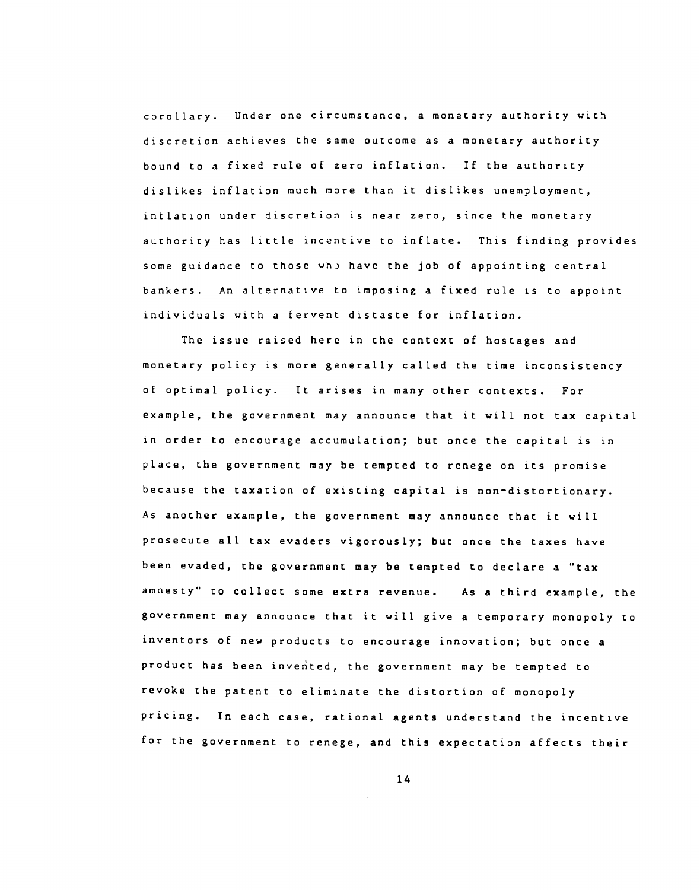corollary. Under one circumstance, a monetary authority with discretion achieves the same outcome as a monetary authority bound to a fixed rule of zero inflation. If the authority dislikes inflation much more than it dislikes unemployment, inflation under discretion is near zero, since the monetary authority has little incentive to inflate. This finding provides some guidance to those who have the job of appointing central bankers. An alternative to imposing a fixed rule is to appoint individuals with a fervent distaste for inflation.

The issue raised here in the context of hostages and monetary policy is more generally called the time inconsistency of optimal policy. It arises in many other contexts. For example, the government may announce that it will not tax capital in order to encourage accumulation; but once the capital is in place, the government may be tempted to renege on its promise because the taxation of existing capital is non-distortionary. As another example, the government may announce that it will prosecute all tax evaders vigorously; but once the taxes have been evaded, the government may be tempted to declare a "tax amnesty" to collect some extra revenue. As a third example, the government may announce that it will give a temporary monopoly to inventors of new products to encourage innovation; but once a product has been invented, the government may be tempted to revoke the patent to eliminate the distortion of monopoly pricing. In each case, rational agents understand the incentive for the government to renege, and this expectation affects their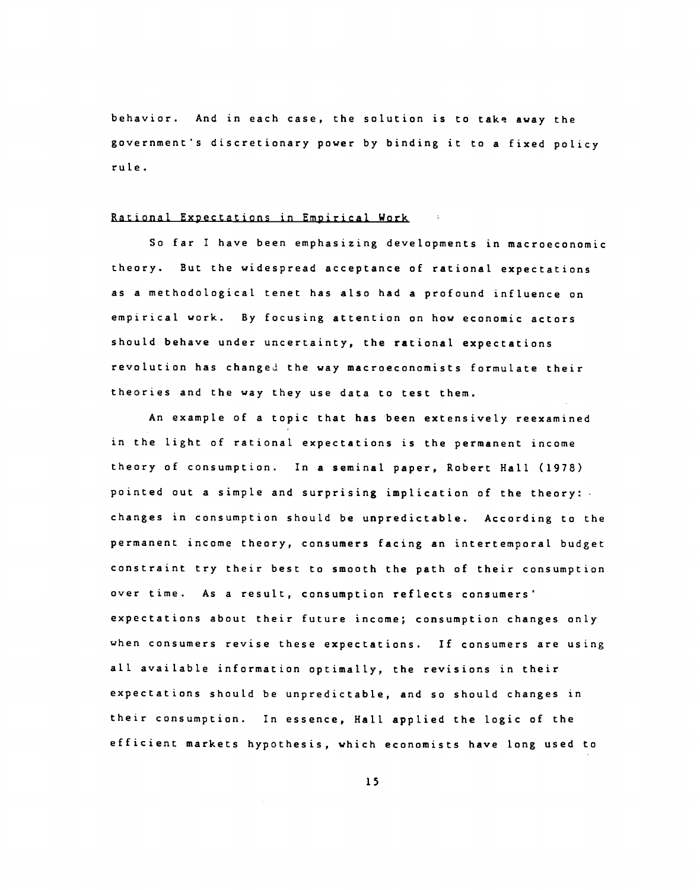behavior. And in each case, the solution is to take away the government's discretionary power by binding it to a fixed policy rule.

#### Rational Expectations in Empirical Work

So far I have been emphasizing developments in macroeconomic theory. But the widespread acceptance of rational expectations as a methodological tenet has also had a profound influence on empirical work. By focusing attention on how economic actors should behave under uncertainty, the rational expectations revolution has changed the way macroeconomists formulate their theories and the way they use data to test them.

An example of a topic that has been extensively reexamined in the light of rational expectations is the permanent income theory of consumption. In a seminal paper, Robert Hall (1978) pointed out a simple and surprising implication of the theory:. changes in consumption should be unpredictable. According to the permanent income theory, consumers facing an intertemporal budget constraint try their best to smooth the path of their consumption over time. As a result, consumption reflects consumers' expectations about their future income; consumption changes only when consumers revise these expectations. If consumers are using all available information optimally, the revisions in their expectations should be unpredictable, and so should changes in their consumption. In essence, Hall applied the logic of the efficient markets hypothesis, which economists have long used to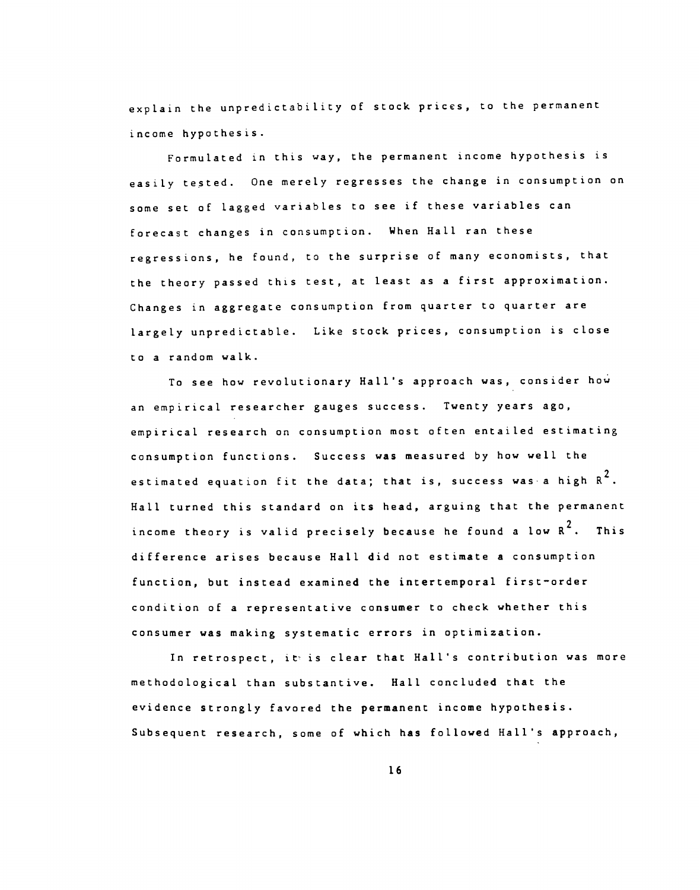explain the unpredictability of stock prices, to the permanent income hypothesis.

Formulated in this way, the permanent income hypothesis is easily tested. One merely regresses the change in consumption on some set of lagged variables to see if these variables can forecast changes in consumption. When Hall ran these regressions, he found, to the surprise of many economists, that the theory passed this test, at least as a first approximation. Changes in aggregate consumption from quarter to quarter are largely unpredictable. Like stock prices, consumption is close to a random walk.

To see how revolutionary Hall's approach was, consider how an empirical researcher gauges success. Twenty years ago, empirical research on consumption most often entailed estimating consumption functions. Success was measured by how well the estimated equation fit the data; that is, success was a high  $R^2$ . Hall turned this standard on its head, arguing that the permanent income theory is valid precisely because he found a low  $R^2$ . This difference arises because Hall did not estimate a consumption function, but instead examined the intertemporal first—order condition of a representative consumer to check whether this consumer was making systematic errors in optimization.

In retrospect, it is clear that Hall's contribution was more methodological than substantive. Hall concluded that the evidence strongly favored the permanent income hypothesis. Subsequent research, some of which has followed Hall's approach,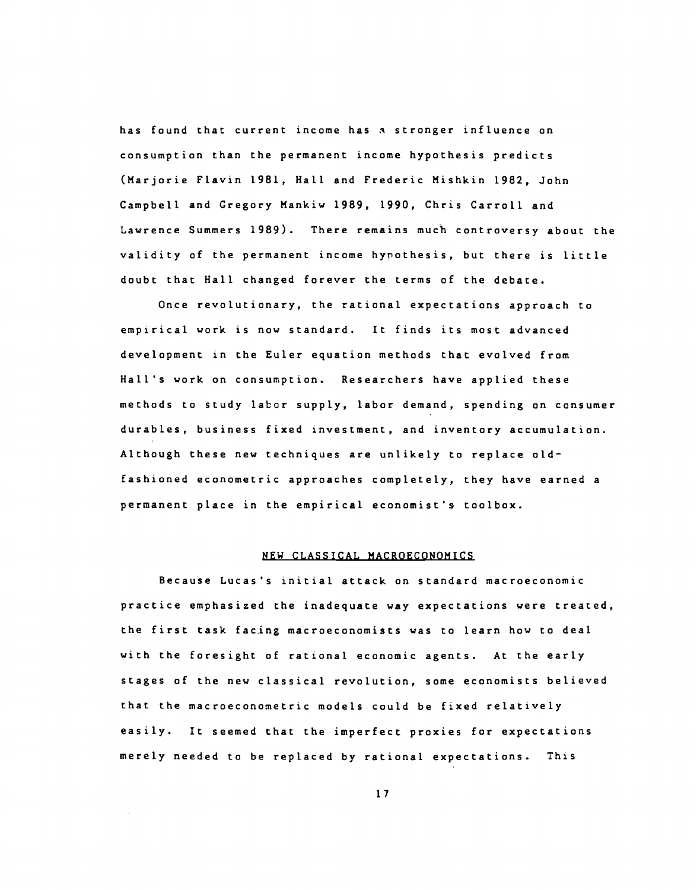has found that current income has stronger influence on consumption than the permanent income hypothesis predicts (Marjorie Flavin 1981, Hall and Frederic Mishkin 1982, John Campbell and Gregory Mankiw 1989, 1990, Chris Carroll and Lawrence Summers 1989). There remains much controversy about the validity of the permanent income hypothesis, but there is little doubt that Hall changed forever the terms of the debate.

Once revolutionary, the rational expectations approach to empirical work is now standard. It finds its most advanced development in the Euler equation methods that evolved from Hall's work on consumption. Researchers have applied these methods to study labor supply, labor demand, spending on consumer durables, business fixed investment, and inventory accumulation. Although these new techniques are unlikely to replace old fashioned econometric approaches completely, they have earned a permanent place in the empirical economist's toolbox.

#### NEW CLASSICAL MACROECONOMICS

Because Lucas's initial attack on standard macroeconomic practice emphasized the inadequate way expectations were treated, the first task facing macroeconomists was to learn how to deal with the foresight of rational economic agents. At the early stages of the new classical revolution, some economists believed that the macroeconometrjc models could be fixed relatively easily. It seemed that the imperfect proxies for expectations merely needed to be replaced by rational expectations. This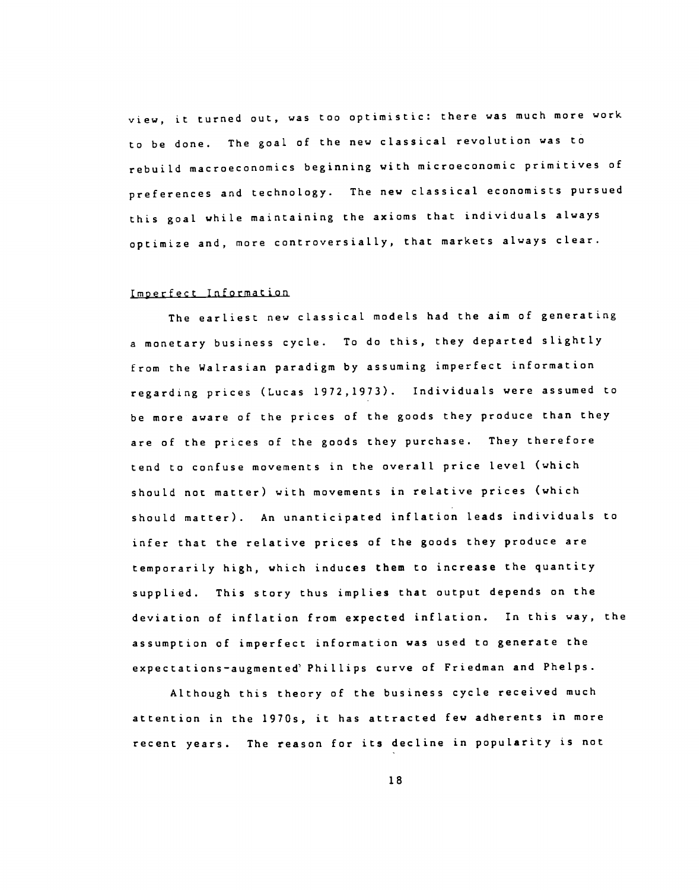view, it turned out, was too optimistic: there was much more work to be done. The goal of the new classical revolution was to rebuild macroeconomics beginning with microeconomic primitives of preferences and technology. The new classical economists pursued this goal while maintaining the axioms that individuals always optimize and, more controversially, that markets always clear.

#### Imperfect Information

The earliest new classical models had the aim of generating a monetary business cycle. To do this, they departed slightly from the Walrasian paradigm by assuming imperfect information regarding prices (Lucas 1972,1973). Individuals were assumed to be more aware of the prices of the goods they produce than they are of the prices of the goods they purchase. They therefore tend to confuse movements in the overall price level (which should not matter) with movements in relative prices (which should matter). An unanticipated inflation leads individuals to infer that the relative prices of the goods they produce are temporarily high, which induces them to increase the quantity supplied. This story thus implies that output depends on the deviation of inflation from expected inflation. In this way, the assumption of imperfect information was used to generate the expectations-augmented' Phillips curve of Friedman and Phelps.

Although this theory of the business cycle received much attention in the 1970s, it has attracted few adherents in more recent years. The reason for its decline in popularity is not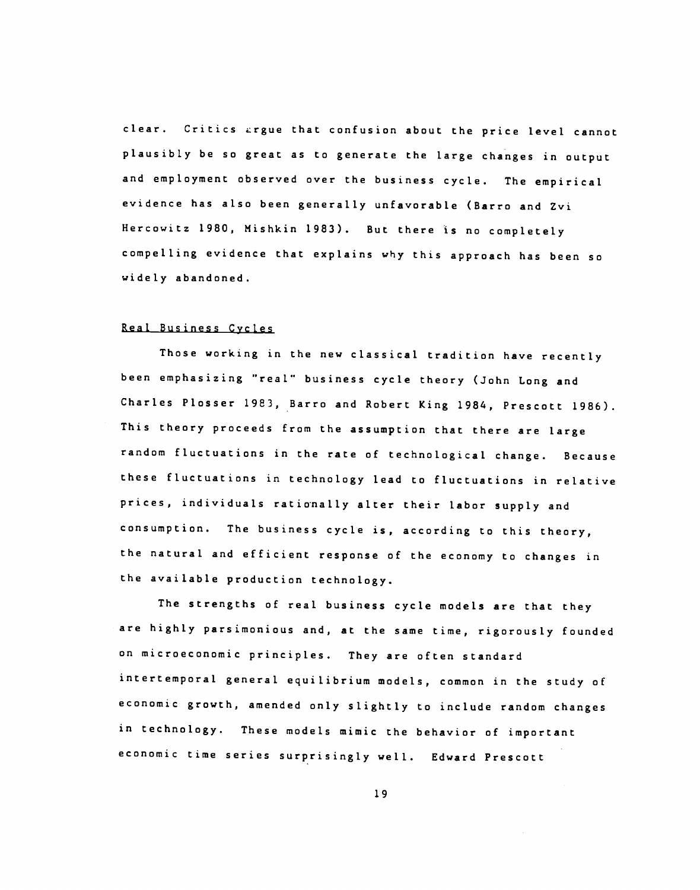clear. Critics ergue that confusion about the price level cannot plausibly be so great as to generate the large changes in output and employment observed over the business cycle. The empirical evidence has also been generally unfavorable (Barro and Zvi Hercowitz 1980, Nishkin 1983). But there is no completely compelling evidence that explains why this approach has been so widely abandoned.

# Real Business Cycles

Those working in the new classical tradition have recently been emphasizing "real" business cycle theory (John Long and Charles Plosser 1983, Barro and Robert King 1984, Prescott 1986). This theory proceeds from the assumption that there are large random fluctuations in the rate of technological change. Because these fluctuations in technology lead to fluctuations in relative prices, individuals rationally alter their labor supply and consumption. The business cycle is, according to this theory, the natural and efficient response of the economy to changes in the available production technology.

The strengths of real business cycle models are that they are highly parsimonious and, at the same time, rigorously founded on microeconomic principles. They are often standard intertemporal general equilibrium models, common in the study of economic growth, amended only slightly to include random changes in technology. These models mimic the behavior of important economic time series surprisingly well. Edward Prescott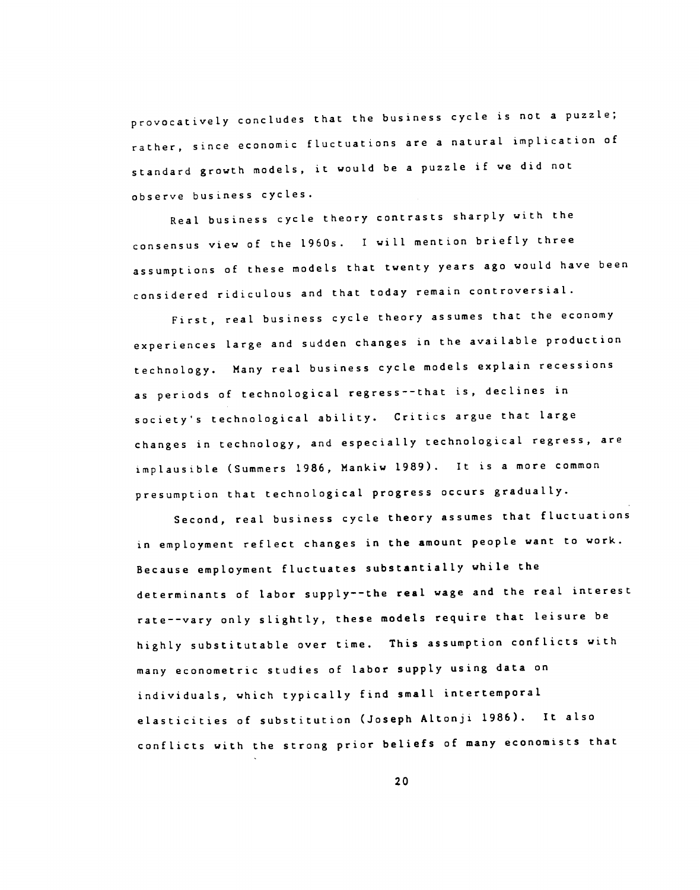provocatively concludes that the business cycle is not a puzzle; rather, since economic fluctuations are a natural implication of standard growth models, it would be a puzzle if we did not observe business cycles.

Real business cycle theory contrasts sharply with the consensus view of the l960s. I will mention briefly three assumptions of these models that twenty years ago would have been considered ridiculous and that today remain controversial.

First, real business cycle theory assumes that the economy experiences large and sudden changes in the available production technology. Many real business cycle models expLain recessions as periods of technological regress--that is, declines in society's technological ability. Critics argue that large changes in technology, and especially technological regress, are implausible (Summers 1986, Mankiw 1989). It is a more common presumption that technological progress occurs gradually.

Second, real business cycle theory assumes that fluctuations in employment reflect changes in the amount people want to work. Because employment fluctuates substantially while the determinants of labor supply——the real wage and the real interest rate——vary only slightly, these models require that leisure be highly substitutable over time. This assumption conflicts with many econometric studies of labor supply using data on individuals, which typically find small intertemporal elasticities of substitution (Joseph Altonji 1986). It also conflicts with the strong prior beliefs of many economists that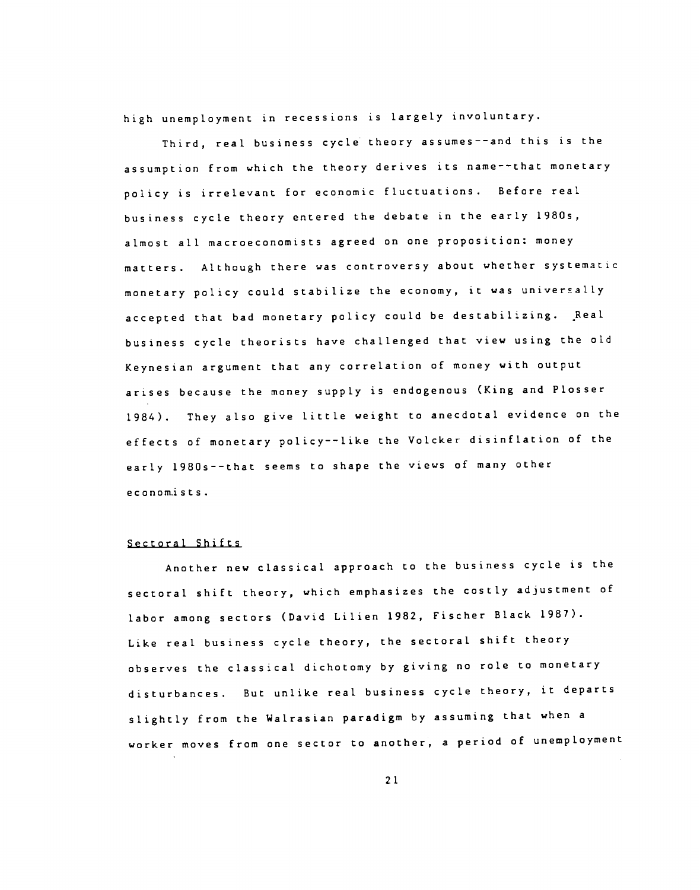high unemployment in recessions is largely involuntary.

Third, real business cycle theory assumes——and this is the assumption from which the theory derives its name——that monetary policy is irreLevant for economic fluctuations. Before real business cycle theory entered the debate in the early 1980s, almost all macroeconomists agreed on one proposition: money matters. Although there was controversy about whether systematic monetary policy could stabilize the economy, it was universally accepted that bad monetary policy could be destabilizing. Real business cycle theorists have challenged that view using the old Keynesian argument that any correlation of money with output arises because the money supply is endogenous (King and Plosser 1984). They also give little weight to anecdotal evidence on the effects of monetary policy——like the Voicker disinflation of the early 1980s——that seems to shape the views of many other e c on om.ists.

#### Sectoral Shifts

Another new classical approach to the business cycle is the sectoral shift theory, which emphasizes the costly adjustment of labor among sectors (David Lilien 1982, Fischer Black 1987). Like real business cycle theory, the sectoral shift theory observes the classical dichotomy by giving no role to monetary disturbances. But unlike real business cycle theory, it departs slightly from the Walrasian paradigm by assuming that when a worker moves from one sector to another, a period of unemployment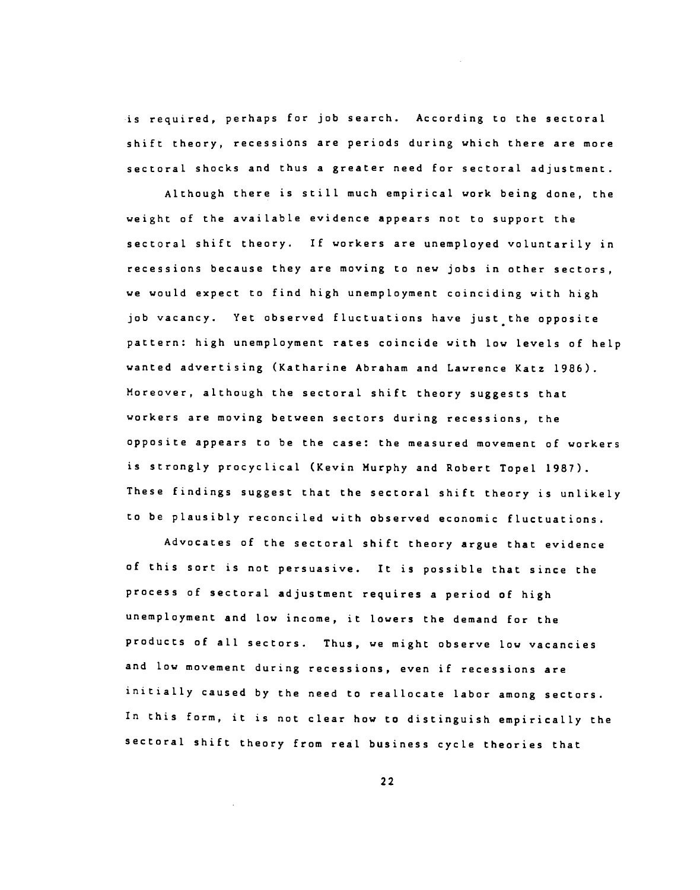•is required, perhaps for job search. According to the sectoral shift theory, recessions are periods during which there are more sectoral shocks and thus a greater need for sectoral adjustment.

Although there is still much empirical work being done, the weight of the available evidence appears not to support the sectoral shift theory. If workers are unemployed voluntarily in recessions because they are moving to new jobs in other sectors, we would expect to find high unemployment coinciding with high job vacancy. Yet observed fluctuations have just the opposite pattern: high unemployment rates coincide with low levels of help wanted advertising (Katharine Abraham and Lawrence Katz 1986). Moreover, although the sectoral shift theory suggests that workers are moving between sectors during recessions, the opposite appears to be the case: the measured movement of workers is strongly procyclical (Kevin Murphy and Robert Topel 1987). These findings suggest that the sectoral shift theory is unlikely to be plausibly reconciled with observed economic fluctuations.

Advocates of the sectoral shift theory argue that evidence of this sort is not persuasive. It is possible that since the process of sectoral adjustment requires a period of high unemployment and low income, it lowers the demand for the products of all sectors. Thus, we might observe low vacancies and low movement during recessions, even if recessions are initially caused by the need to reallocate labor among sectors. In this form, it is not clear how to distinguish empirically the sectoral shift theory from real business cycle theories that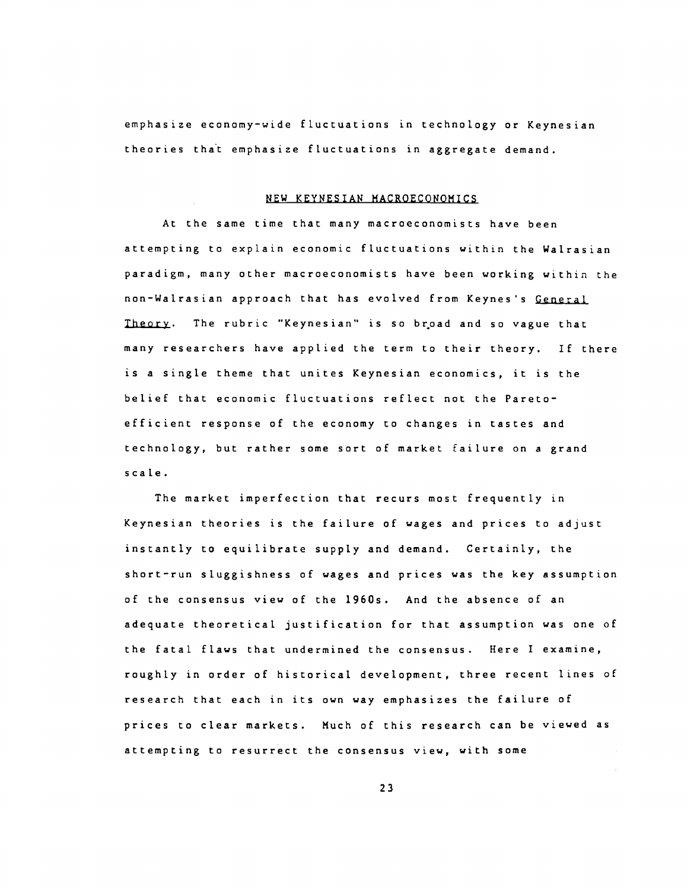emphasize economy—wide fluctuations in technology or Keynesian theories that emphasize fluctuations in aggregate demand.

# NEW KEYNESIAN MACROECONOMICS

At the same time that many macroeconomists have been attempting to explain economic fluctuations within the Wairasian paradigm, many other macroeconomists have been working within the non—Wairasian approach that has evolved from Keynes's General Theory. The rubric "Keynesian" is so broad and so vague that many researchers have applied the term to their theory. If there is a single theme that unites Keynesian economics, it is the belief that economic fluctuations reflect not the Pareto efficient response of the economy to changes in tastes and technology, but rather some sort of market failure on a grand scale.

The market imperfection that recurs most frequently in Keynesian theories is the failure of wages and prices to adjust instantly to equilibrate supply and demand. Certainly, the short—run sluggishness of wages and prices was the key assumption of the consensus view of the 1960s. And the absence of an adequate theoretical justification for that assumption was one of the fatal flaws that undermined the consensus. Here I examine, roughly in order of historical development, three recent lines of research that each in its own way emphasizes the failure of prices to clear markets. Much of this research can be viewed as attempting to resurrect the consensus view, with some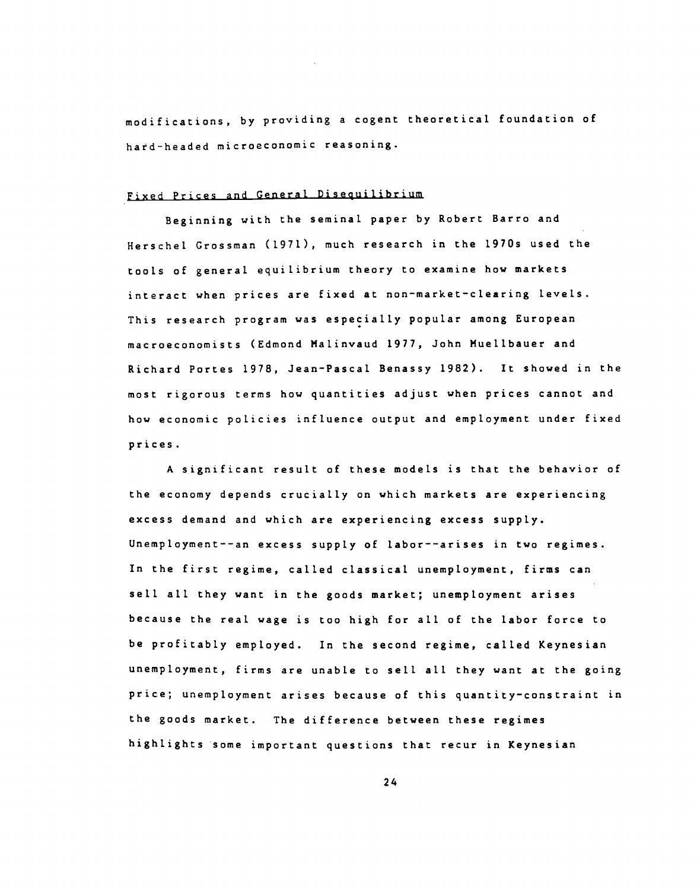modifications, by providing a cogent theoretical foundation of hard-headed microeconomic reasoning.

# Fixed Prices and General Disequilibrium

Beginning with the seminal paper by Robert Barro and Herschel Grossman (1971), much research in the 1970s used the tools of general equilibrium theory to examine how markets interact when prices are fixed at non—market—clearing levels. This research program was especially popular among European macroeconomists (Edmond Malinvaud 1977, John Muellbauer and Richard Portes 1978, Jean—Pascal Benassy 1982). It showed in the most rigorous terms how quantities adjust when prices cannot and how economic policies influence output and employment under fixed prices.

A significant result of these models is that the behavior of the economy depends crucially on which markets are experiencing excess demand and which are experiencing excess supply. Unemployment——an excess supply of labor——arises in two regimes. In the first regime, called classical unemployment, firms can sell all they want in the goods market; unemployment arises because the real wage is too high for all of the labor force to be profitably employed. In the second regime, called Keynesian unemployment, firms are unable to sell all they want at the going price; unemployment arises because of this quantity—constraint in the goods market. The difference between these regimes highlights some important questions that recur in Keynesian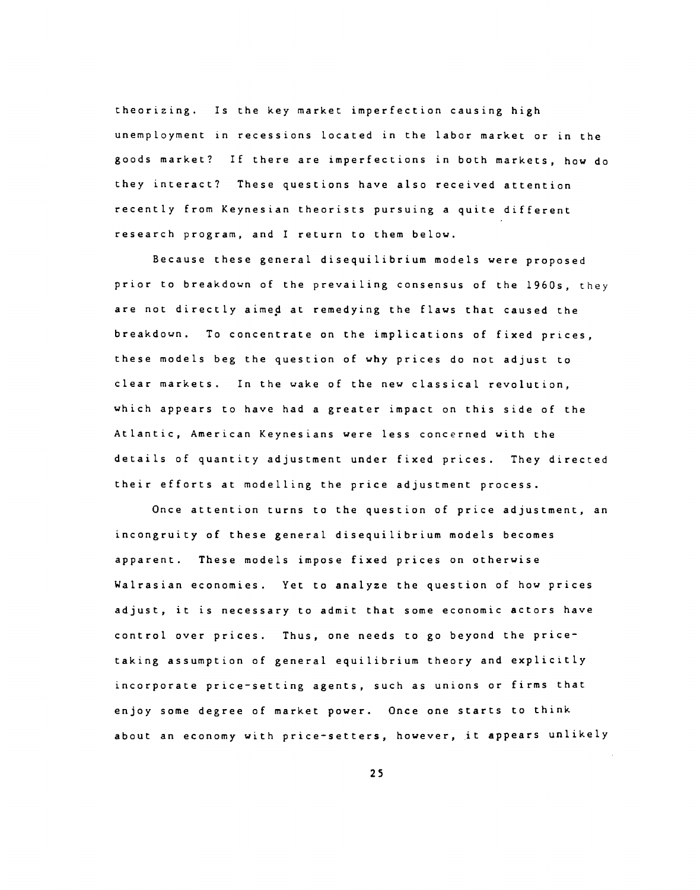theorizing. Is the key market imperfection causing high unemployment in recessions located in the labor market or in the goods market? If there are imperfections in both markets, how do they interact? These questions have also received attention recently from Keynesian theorists pursuing a quite different research program, and I return to them below.

Because these general disequilibrium models were proposed prior to breakdown of the prevailing consensus of the 1960s, they are not directly aimed at remedying the flaws that caused the breakdown. To concentrate on the implications of fixed prices, these models beg the question of why prices do not adjust to clear markets. In the wake of the new classical revolution, which appears to have had a greater impact on this side of the Atlantic, American Keynesians were less concerned with the details of quantity adjustment under fixed prices. They directed their efforts at modelling the price adjustment process.

Once attention turns to the question of price adjustment, an incongruity of these general disequilibrium models becomes apparent. These models impose fixed prices on otherwise WaLrasian economies. Yet to analyze the question of how prices adjust, it is necessary to admit that some economic actors have control over prices. Thus, one needs to go beyond the price taking assumption of general equilibrium theory and explicitly incorporate price—setting agents, such as unions or firms that enjoy some degree of market power. Once one starts to think about an economy with price—setters, however, it appears unlikely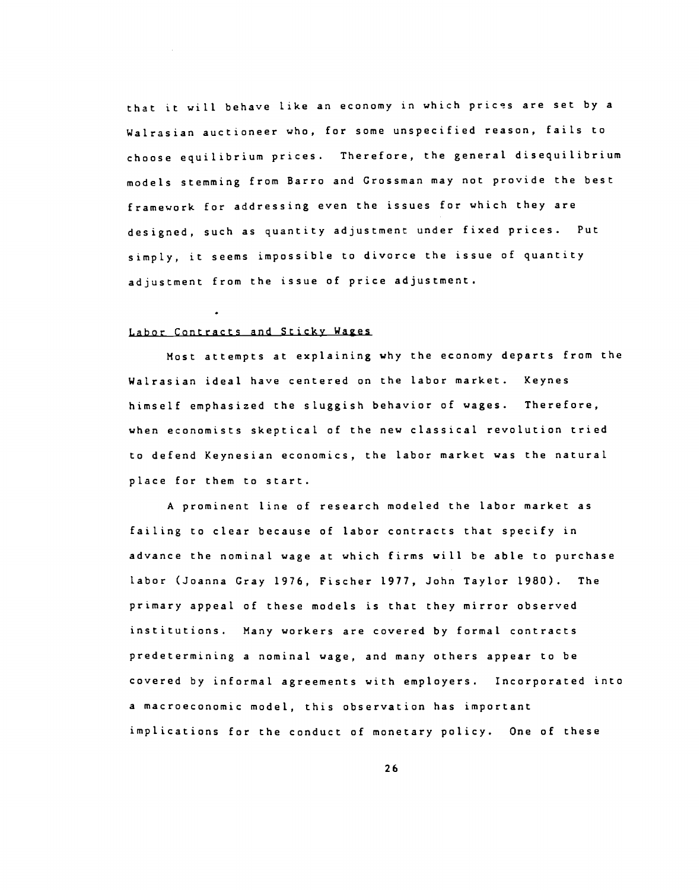that it will behave like an economy in which prices are set by a Walrasian auctioneer who, for some unspecified reason, fails to choose equilibrium prices. Therefore, the general disequilibrium models stemming from Barro and Grossman may not provide the best framework for addressing even the issues for which they are designed, such as quantity adjustment under fixed prices. Put simply, it seems impossible to divorce the issue of quantity adjustment from the issue of price adjustment.

#### Labor Contracts and Sticky Wages

Most attempts at explaining why the economy departs from the Wairasian ideal have centered on the labor market. Keynes himself emphasized the sluggish behavior of wages. Therefore, when economists skeptical of the new classical revolution tried to defend Keynesian economics, the labor market was the natural place for them to start.

A prominent line of research modeled the labor market as failing to clear because of labor contracts that specify in advance the nominal wage at which firms will be able to purchase labor (Joanna Gray 1976, Fischer 1977, John Taylor 1980). The primary appeal of these models is that they mirror observed institutions. Many workers are covered by formal contracts predetermining a nominal wage, and many others appear to be covered by informal agreements with employers. Incorporated into a macroeconomic model, this observation has important implications for the conduct of monetary policy. One of these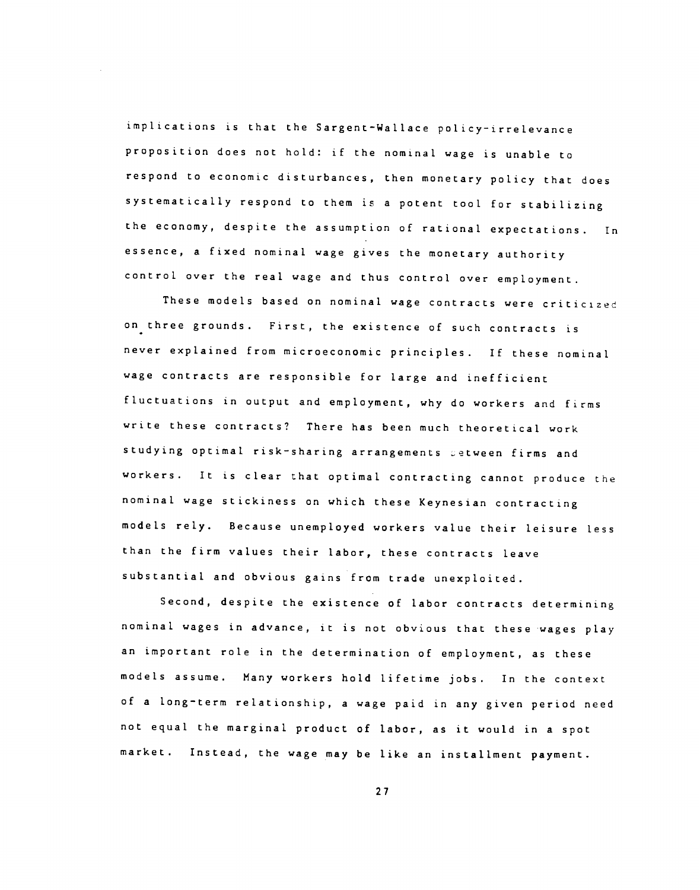implications is that the Sargent—Wallace policy—irrelevance proposition does not hold: if the nominal wage is unable to respond to economic disturbances, then monetary policy that does systematically respond to them is a potent tool for stabilizing the economy, despite the assumption of rational expectations. In essence, a fixed nominal wage gives the monetary authority control over the real wage and thus control over employment.

These models based on nominal wage contracts were criticized on three grounds. First, the existence of such contracts is never explained from microeconomic principles. If these nominal wage contracts are responsible for large and inefficient fluctuations in output and employment, why do workers and firms write these contracts? There has been much theoretical work studying optimal risk-sharing arrangements setween firms and workers. It is clear that optimal contracting cannot produce the nominal wage stickiness on which these Keynesian contracting models rely. Because unemployed workers value their leisure less than the firm values their labor, these contracts leave substantial and obvious gains from trade unexploited.

Second, despite the existence of labor contracts determining nominal wages in advance, it is not obvious that these •wages play an important role in the determination of employment, as these models assume. Many workers hold lifetime jobs. In the context of a long—term relationship, a wage paid in any given period need not equal the marginal product of labor, as it would in a spot market. Instead, the wage may be like an installment payment.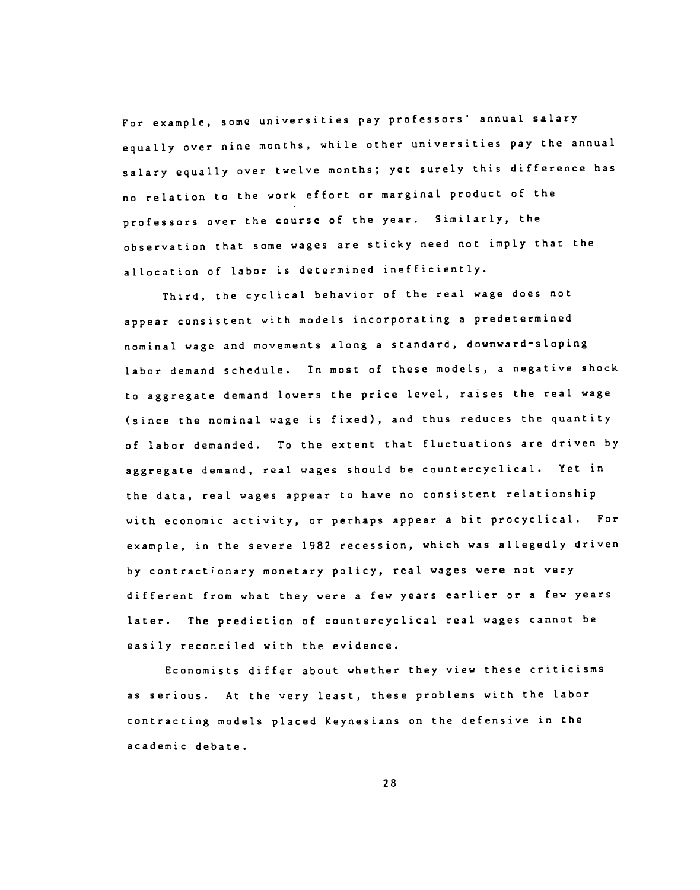For example, some universities pay professors' annual salary equally over nine months, while other universities pay the annual salary equally over twelve months; yet surely this difference has no relation to the work effort or marginal product of the professors over the course of the year. Similarly, the observation that some wages are sticky need not imply that the allocation of labor is determined inefficiently.

Third, the cyclical behavior of the real wage does not appear consistent with models incorporating a predetermined nominal wage and movements along a standard, downward—sloping labor demand schedule. In most of these models, a negative shock to aggregate demand lowers the price level, raises the real wage (since the nominal wage is fixed), and thus reduces the quantity of labor demanded. To the extent that fluctuations are driven by aggregate demand, real wages should be countercyclical. Yet in the data, real wages appear to have no consistent relationship with economic activity, or perhaps appear a bit procyclical. For example, in the severe 1982 recession, which was allegedly driven by contractionary monetary policy, real wages were not very different from what they were a few years earlier or a few years later. The prediction of countercyclical real wages cannot be easily reconciled with the evidence.

Economists differ about whether they view these criticisms as serious. At the very least, these problems with the labor contracting models placed Keynesians on the defensive in the academic debate.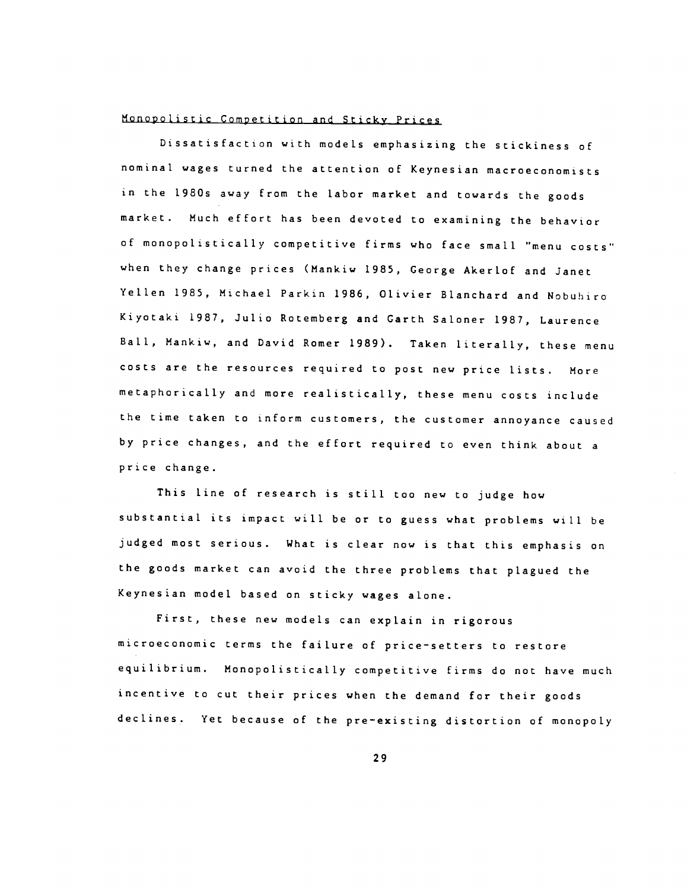#### Monopolistic Competition and Sticky Prices

Dissatisfaction with models emphasizing the stickiness of nominal wages turned the attention of Keynesian macroeconomists in the 1980s away from the labor market and towards the goods market. Much effort has been devoted to examining the behavior of monopolistically competitive firms who face small "menu costs" when they change prices (Mankiw 1985, George Akerlof and Janet Yellen 1985, Michael Parkin 1986, Olivier Blanchard and Nobuhiro Kiyotaki 1987, Julio Rotemberg and Garth Saloner 1987, Laurence Ball, Mankiw, and David Romer 1989). Taken literally, these menu costs are the resources required to post new price lists. More metaphorically and more realistically, these menu costs include the time taken to inform customers, the customer annoyance caused by price changes, and the effort required to even think about a price change.

This line of research is still too new to judge how substantial its impact will be or to guess what problems will be judged most serious. What is clear now is that this emphasis on the goods market can avoid the three problems that plagued the Keynesian model based on sticky wages alone.

First, these new models can explain in rigorous microeconomic terms the failure of price—setters to restore equilibrium. Monopolistically competitive firms do not have much incentive to cut their prices when the demand for their goods declines. Yet because of the pre—existing distortion of monopoly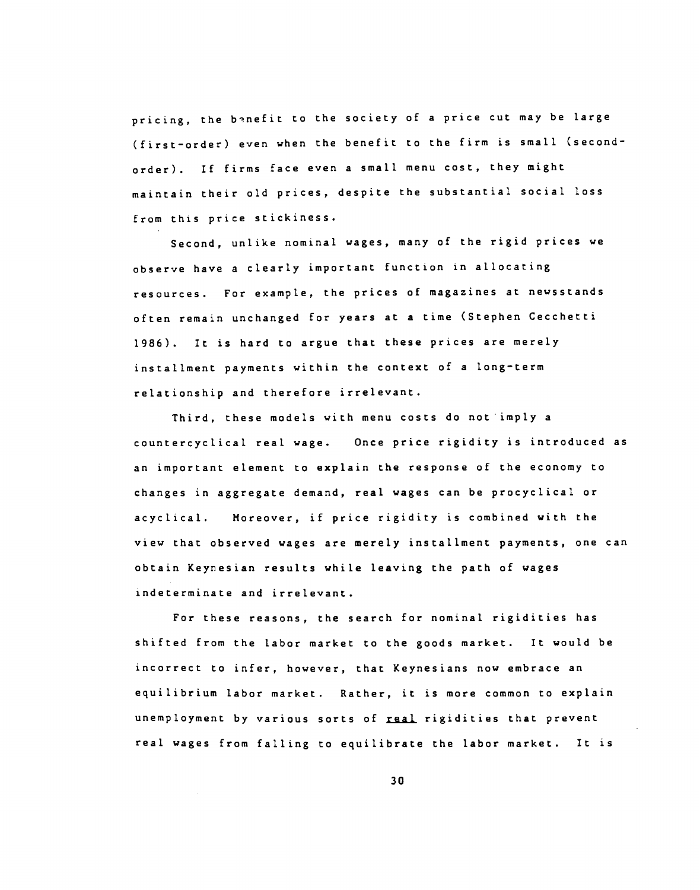pricing, the banefit to the society of a price cut may be large (first—order) even when the benefit to the firm is small (second order). If firms face even a small menu cost, they might maintain their old prices, despite the substantial. social loss from this price stickiness.

Second, unlike nominal wages, many of the rigid prices we observe have a clearly important function in allocating resources. For example, the prices of magazines at newsstands often remain unchanged for years at a time (Stephen Cecchetti 1986). It is hard to argue that these prices are merely installment payments within the context of a long—term relationship and therefore irrelevant.

Third, these models with menu costs do notimply a countercyclical real wage. Once price rigidity is introduced as an important element to explain the response of the economy to changes in aggregate demand, real wages can be procyclical or acyclical. Moreover, if price rigidity is combined with the view that observed wages are merely installment payments, one can obtain Keyresian results while leaving the path of wages indeterminate and irrelevant.

For these reasons, the search for nominal rigidities has shifted from the labor market to the goods market. It would be incorrect to infer, however, that Keynesians now embrace an equilibrium labor market. Rather, it is more common to explain unemployment by various sorts of real rigidities that prevent real wages from falling to equilibrate the labor market. It is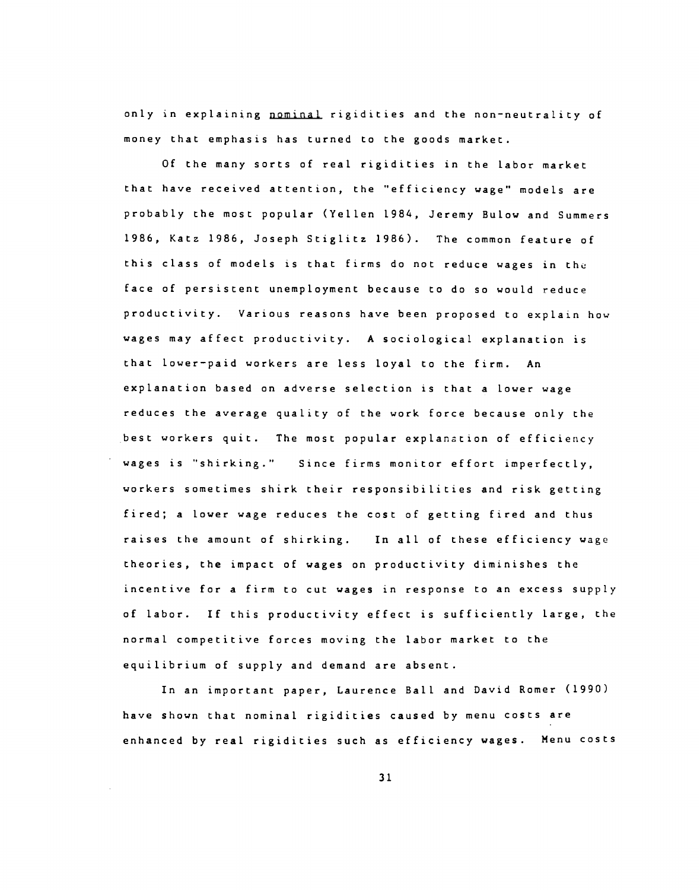only in explaining nominal rigidities and the non—neutrality of money that emphasis has turned to the goods market.

Of the many sorts of real rigidities in the labor market that have received attention, the "efficiency wage" models are probably the most popular (Yellen 1984, Jeremy Bulow and Summers 1986, Katz 1986, Joseph Stiglitz 1986). The common feature of this class of models is that firms do not reduce wages in the face of persistent unemployment because to do so would reduce productivity. Various reasons have been proposed to explain how wages may affect productivity. A sociological explanation is that lower—paid workers are less loyal to the firm. An explanation based on adverse selection is that a lower wage reduces the average quality of the work force because only the best workers quit. The most popular explanation of efficiency wages is "shirking." Since firms monitor effort imperfectly, workers sometimes shirk their responsibilities and risk getting fired; a lower wage reduces the cost of getting fired and thus raises the amount of shirking. In all of these efficiency wage theories, the impact of wages on productivity diminishes the incentive for a firm to cut wages in response to an excess supply of labor. If this productivity effect is sufficiently large, the normal competitive forces moving the labor market to the equilibrium of supply and demand are absent.

In an important paper, Laurence Ball and David Romer (1990) have shown that nominal rigidities caused by menu costs are enhanced by real rigidities such as efficiency wages. Menu costs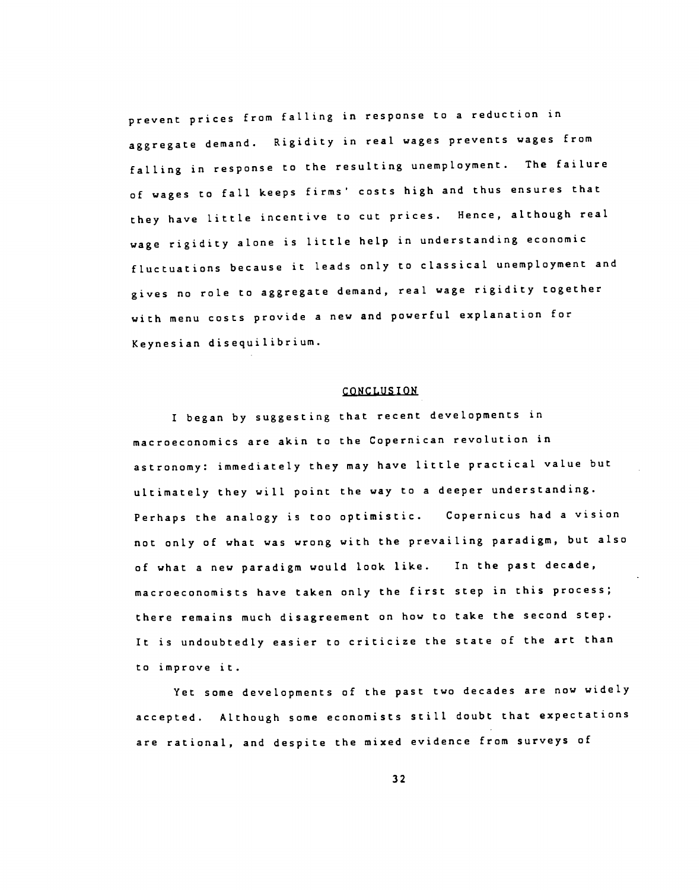prevent prices from falling in response to a reduction in aggregate demand. Rigidity in real wages prevents wages from falling in response to the resulting unemployment. The failure of wages to fall keeps firms' costs high and thus ensures that they have little incentive to cut prices. Hence, although real wage rigidity alone is little help in understanding economic fluctuations because it leads only to classical unemployment and gives no role to aggregate demand, real wage rigidity together with menu costs provide a new and powerful explanation for Keynesian disequilibrium.

#### CONCLUS ION

I began by suggesting that recent developments in macroeconomics are akin to the Copernican revolution in astronomy: immediately they may have little practical value but ultimately they will point the way to a deeper understanding. Perhaps the analogy is too optimistic. Copernicus had a vision not only of what was wrong with the prevailing paradigm, but also of what a new paradigm would look like. In the past decade, macroeconomists have taken only the first step in this process; there remains much disagreement on how to take the second step. It is undoubtedly easier to criticize the state of the art than to improve it.

Yet some developments of the past two decades are now widely accepted. Although some economists still doubt that expectations are rational, and despite the mixed evidence from surveys of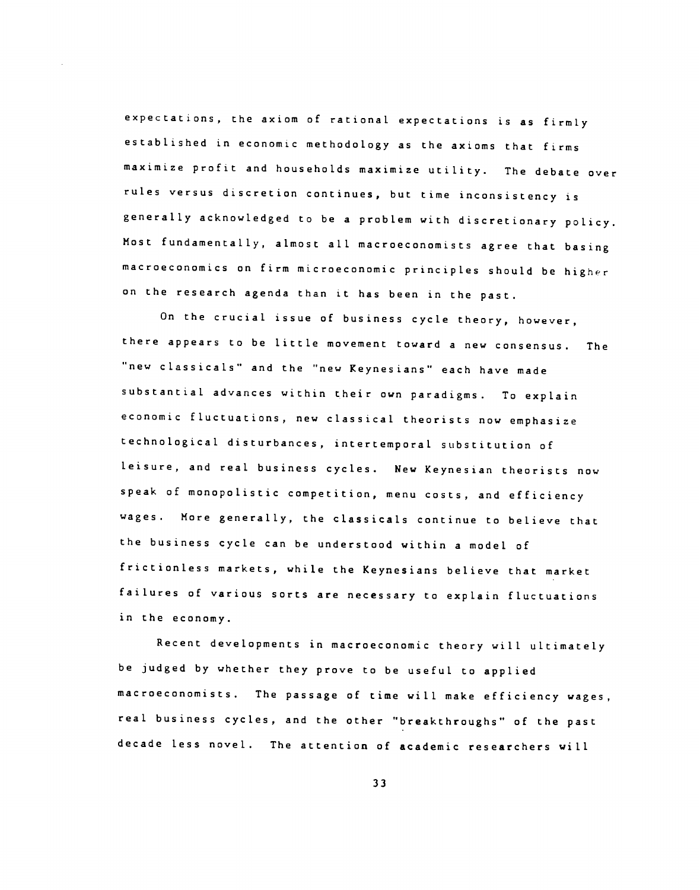expectations, the axiom of rational expectations is as firmly established in economic methodology as the axioms that firms maximize profit and households maximize utility. The debate Over rules versus discretion continues, but time inconsistency is generally acknowledged to be a problem with discretionary policy. Most fundamentally, almost all macroeconomists agree that basing macroeconomics on firm microeconomic principles should be higher on the research agenda than it has been in the past.

On the crucial issue of business cycle theory, however, there appears to be little movement toward a new consensus. The "new classicals" and the "new Keynesians" each have made substantial advances within their own paradigms. To explain economic fluctuations, new classical theorists now emphasize technological disturbances, intertemporal substitution of leisure, and real business cycles. New Keynesian theorists now speak of monopolistic competition, menu costs, and efficiency wages. More generally, the classicals continue to believe that the business cycle can be understood within a model of frictionless markets, while the Keynesians believe that market failures of various sorts are necessary to explain fluctuations in the economy.

Recent developments in macroeconomic theory will ultimately be judged by whether they prove to be useful to applied macroeconomists. The passage of time will make efficiency wages, real business cycles, and the other "breakthroughs" of the past decade less novel. The attention of academic researchers will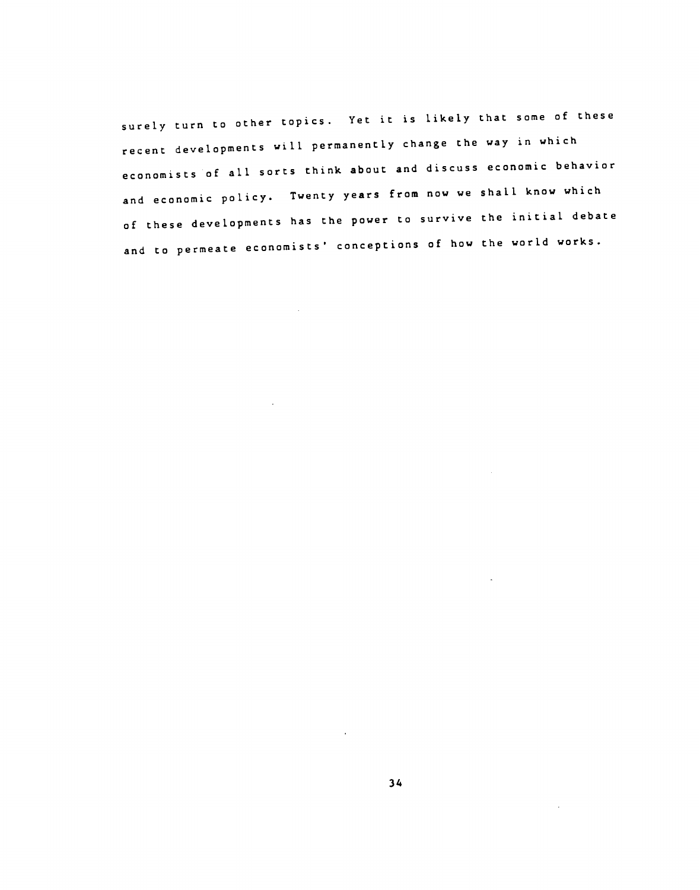surely turn to other topics. Yet it is likely that some of these recent developments will permanently change the way in which economists of all sorts think about and discuss economic behavior and economic policy. Twenty years from now we shall know which of these developments has the power to survive the initial debate and to permeate economists' conceptions of how the world works.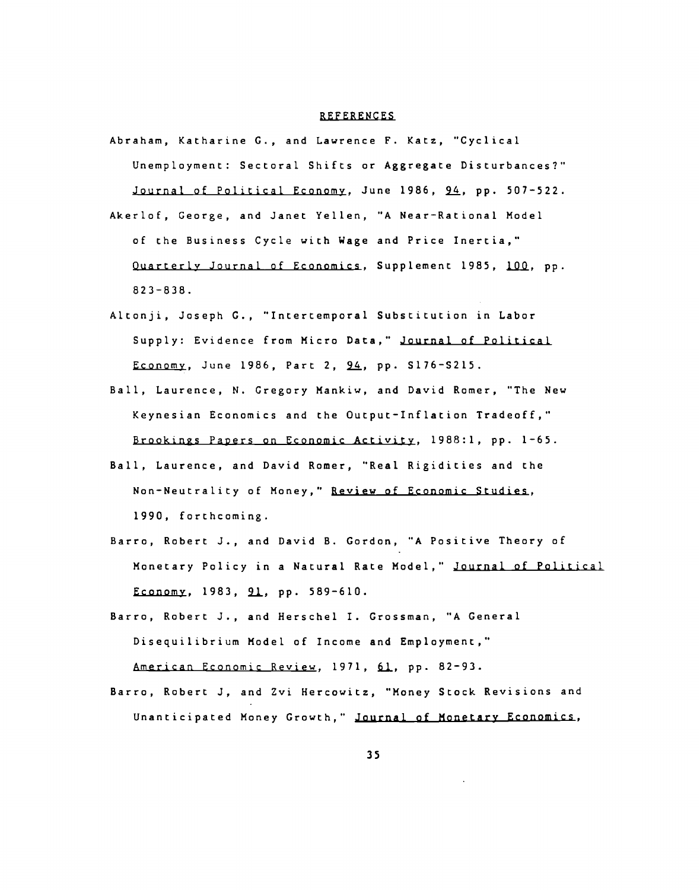#### REFERENCES

- Abraham, Katharine G., and Lawrence F. Katz, "Cyclical Unemployment: Sectoral Shifts or Aggregate Disturbances?" Journal of Political Economy, June 1986, 94, pp. 507-522.
- Akerlof, George, and Janet Yellen, "A Near—Rational Model of the Business Cycle with Wage and Price Inertia," Quarterly Journal of Economics, Supplement 1985, 100, pp. 82 3—838.
- Altonji, Joseph C., "Intertemporal Substitution in Labor Supply: Evidence from Micro Data," Journal of Political Economy, June 1986, Part 2, 94, pp. S176-S215.
- Ball, Laurence, N. Gregory Mankiw, and David Romer, "The New Keynesian Economics and the Output—Inflation Tradeoff," Brookings Papers on Economic Activity, 1988:1, pp. 1—65.
- Ball, Laurence, and David Romer, "Real Rigidities and the Non—Neutrality of Money," Review of Economic Studies, 1990, forthcoming.
- Barro, Robert J., and David B. Gordon, "A Positive Theory of Monetary Policy in a Natural Rate Model," Journal of Political Economy, 1983, 91, pp. 589-610.
- Barro, Robert J., and Herschel I. Grossman, "A General Disequilibrium Model of Income and Employment," American Economic Review, 1971, 61, pp. 82-93.
- Barro, Robert J, and Zvi Hercowitz, "Money Stock Revisions and Unanticipated Money Growth," Journal of Monetary Economics,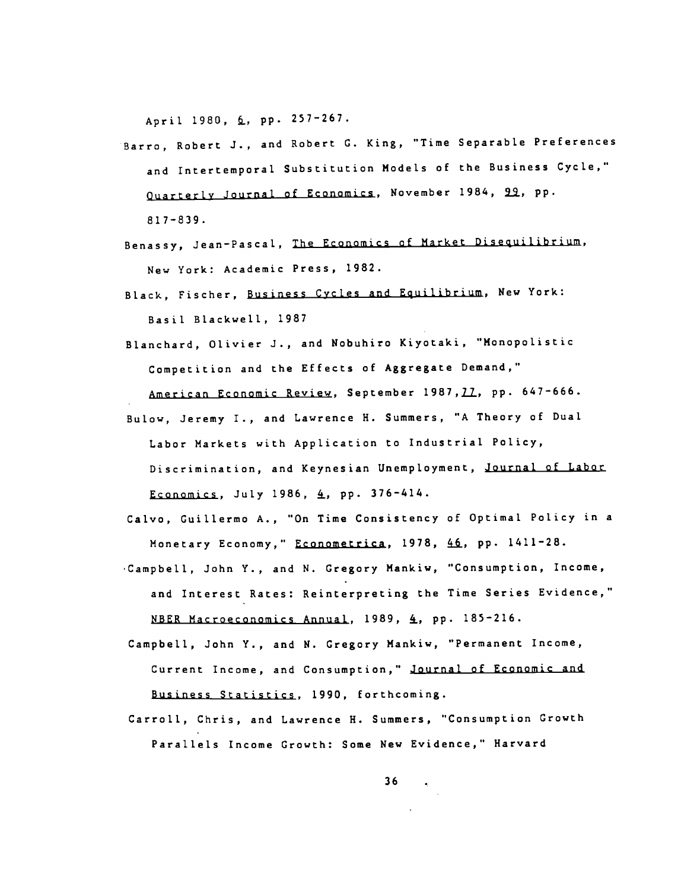April 1980, 6, pp. 257-267.

- Barro, Robert J., and Robert C. King, "Time Separable Preferences and Intertemporal Substitution Models of the Business Cycle," Quarterly Journal of Economics, November 1984, 92, pp. 817—839.
- Benassy, Jean—Pascal, The Economics of Market Disequilibrium, New York: Academic Press, 1982.
- Black, Fischer, Business Cycles and Equilibrium, New York: Basil Blackwell, 1987
- Blanchard, Olivier J., and Nobuhiro Kiyotaki, "Monopolistic Competition and the Effects of Aggregate Demand,"
	- American Economic Review, September 1987, 77, pp. 647-666.
- Bulow, Jeremy I., and Lawrence H. Summers, "A Theory of Dual Labor Markets with Application to Industrial Policy, Discrimination, and Keynesian Unemployment, Journal of Labor Economics, July 1986,  $4$ , pp. 376-414.
- Calvo, Guillermo A., "On Time Consistency of Optimal Policy in a Monetary Economy," Econometrica, 1978, 46, pp. 1411-28.
- Campbell, John Y., and N. Gregory Mankiw, "Consumption, Income, and Interest Rates: Reinterpreting the Time Series Evidence," NBER Macroeconomics Annual, 1989, 4, pp. 185-216.
- Campbell, John Y., and N. Gregory Mankiw, "Permanent Income, Current Income, and Consumption," Journal of Economic and Business Statistics, 1990, forthcoming.
- Carroll, Chris, and Lawrence H. Summers, "Consumption Growth Parallels Income Growth: Some New Evidence," Harvard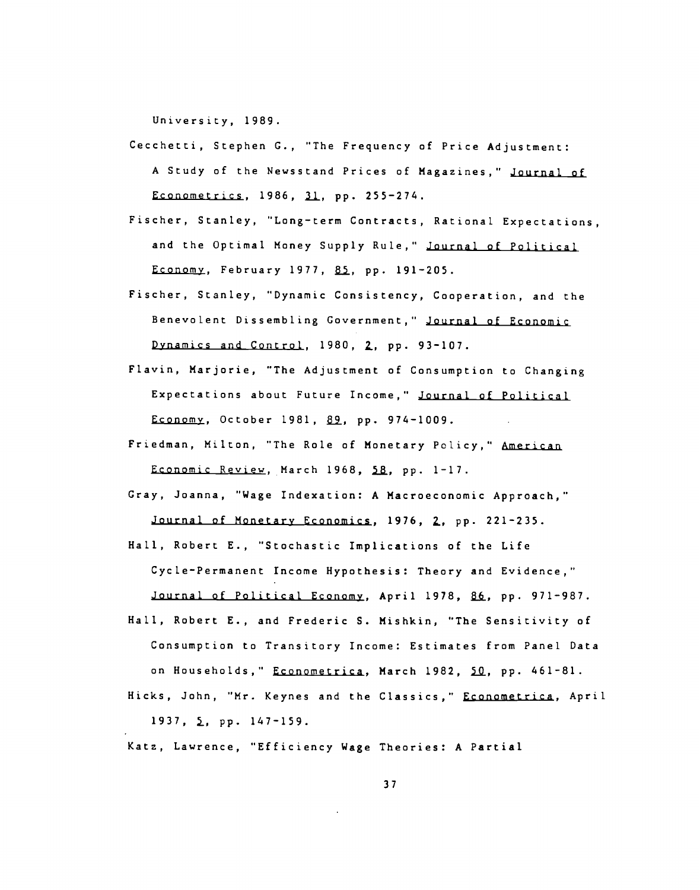University, 1989.

- Cecchetti, Stephen C., "The Frequency of Price Adjustment: A Study of the Newsstand Prices of Magazines," Journal of Econometrics, 1986, 31, pp. 255-274.
- Fischer, Stanley, "Long—term Contracts, Rational Expectations, and the Optimal Money Supply Rule," Journal of Political Economy, February 1977, 85, pp. 191-205.
- Fischer, Stanley, "Dynamic Consistency, Cooperation, and the Benevolent Dissembling Government," Journal of Economic Dynamics and Control, 1980, 2, pp. 93-107.
- Flavin, Marjorie, "The Adjustment of Consumption to Changing Expectations about Future Income," Journal of Political Economy, October 1981, 89, pp. 974-1009.
- Friedman, Milton, "The Role of Monetary Policy," American Economic Review, March 1968, 58, pp. 1-17.
- Gray, Joanna, "Wage Indexation: A Macroeconomic Approach," Journal of Monetary Economics, 1976, 2, pp. 221-235.
- Hall, Robert E., "Stochastic Implications of the Life Cycle-Permanent Income Hypothesis: Theory and Evidence," Journal of Political Economy, April 1978, 86, pp. 971-987.
- Hall, Robert E., and Frederic S. Mishkin, "The Sensitivity of Consumption to Transitory Income: Estimates from Panel Data on Households," Econometrica, March 1982, 50, pp. 461-81. Hicks, John, "Mr. Keynes and the Classics," Econometrica, April

1937, **2**, pp. 147-159.

Katz, Lawrence, "Efficiency Wage Theories: A Partial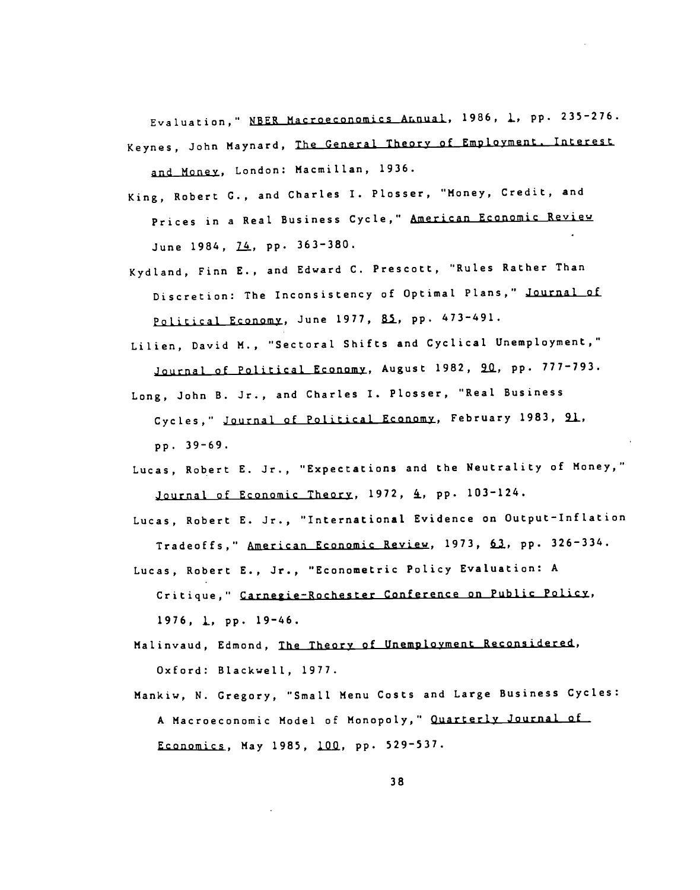Evaluation," NBER Macroeconomics Annual, 1986, 1, pp. 235-276. Keynes, John Maynard, The General Theory of Employment. Interest and Money, London: Macmillan, 1936.

- King, Robert C., and Charles I. Plosser, "Money, Credit, and Prices in a Real Business Cycle," American Economic Review June 1984, 74, pp. 363-380.
- Kydland, Finn E., and Edward C. Prescott, "Rules Rather Than Discretion: The Inconsistency of Optimal Plans," Journal of Political Economy, June 1977, 85, pp. 473-491.
- Lilien, David M., "Sectoral Shifts and Cyclical Unemployment," Journal of Political Economy, August 1982, 20, pp. 777-793.
- Long, John B. Jr., and Charles I. Plosser, "Real Business Cycles," Journal of Political Economy, February 1983, 21, pp. 39—69.
- Lucas, Robert E. Jr., "Expectations and the Neutrality of Money," Journal of Economic Theory, 1972, 4, pp. 103-124.
- Lucas, Robert E. Jr., "International Evidence on Output-Inflation Tradeoffs," American Economic Review, 1973, 61, pp. 326-334.
- Lucas, Robert E., Jr., "Econometric Policy Evaluation: A Critique," Carnegie—Rochester Conference on Public Policy,  $1976, 1, pp. 19-46.$
- Malinvaud, Edmond, The Theory of Unemployment Reconsidered, Oxford: Blackwell, 1977.
- Mankiw, N. Gregory, "Small Menu Costs and Large Business Cycles: A Macroeconomic Model of Monopoly," Quarterly Journal of Economics, May 1985, 100, pp. 529-537.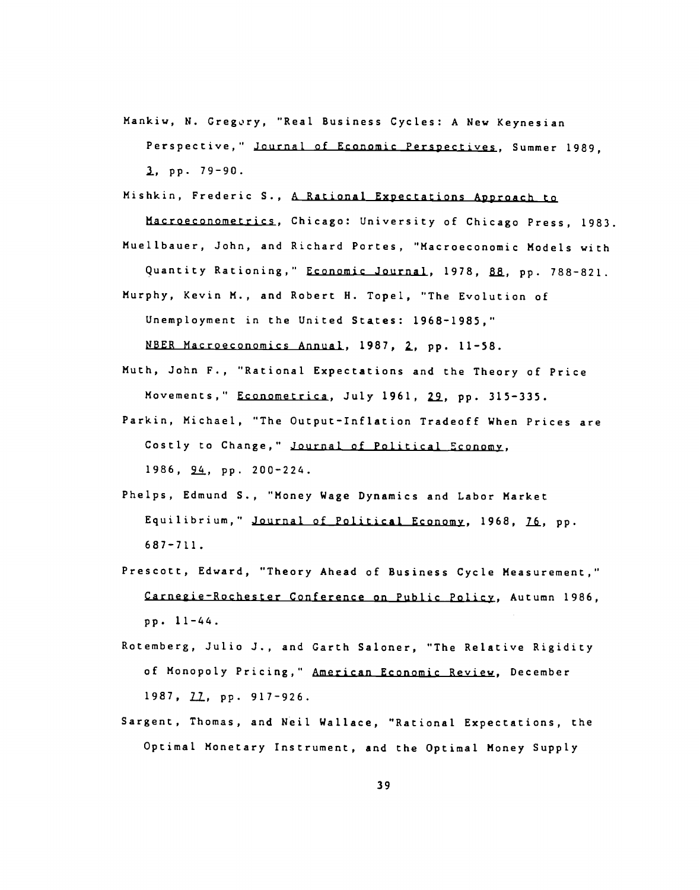- Mankiw, N. Gregory, "Real Business Cycles: A New Keynesian Perspective,' Journal of Economic Perspectives, Summer 1989, , pp. 79—90.
- Mishkin, Frederic S., A Rational Expectations Approach to

Macroeconometrics, Chicago: University of Chicago Press, 1983.

Muellbauer, John, and Richard Portes, "Macroeconomic Models with Quantity Rationing," Economic Journal, 1978, 88, pp. 788-821.

Murphy, Kevin M., and Robert H. Topel, "The Evolution of Unemployment in the United States: 1968—1985,"

NBER Macroeconomics Annual, 1987, Z, pp. 11—58.

- Muth, John F., "Rational Expectations and the Theory of Price Movements," Econometrica, July 1961, 29, pp. 315-335.
- Parkin, Michael, "The Output—Inflation Tradeoff When Prices are Costly to Change," Journal of Political Economy, 1986, pp. 200—224.
- Phelps, Edmund S., "Money Wage Dynamics and Labor Market Equilibrium," Journal of Political Economy, 1968, 76, pp. 687—711.
- Prescott, Edward, "Theory Ahead of Business Cycle Measurement," Carnegie-Rochester Conference on Public Policy, Autumn 1986, pp. 11—44.
- Rotemberg, Julio J., and Garth Saloner, "The Relative Rigidity of Monopoly Pricing," American Economic Review, December 1987, 22, pp. 917-926.
- Sargent, Thomas, and Neil Wallace, "Rational Expectations, the Optimal Monetary Instrument, and the Optimal Money Supply